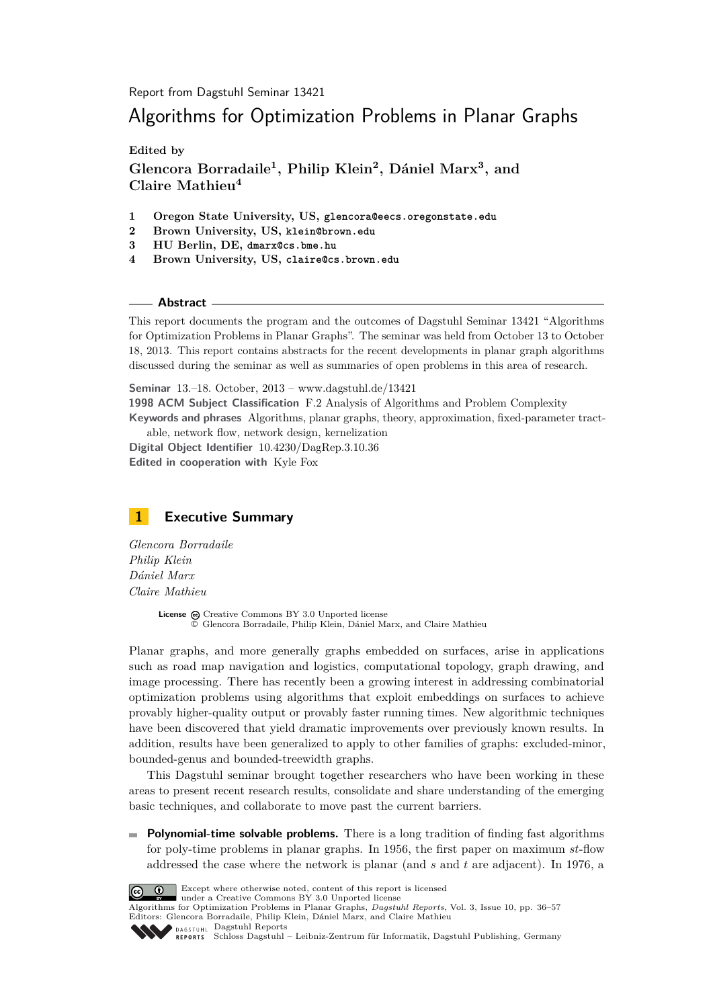Report from Dagstuhl Seminar 13421

# Algorithms for Optimization Problems in Planar Graphs

**Edited by**

**Glencora Borradaile<sup>1</sup> , Philip Klein<sup>2</sup> , Dániel Marx<sup>3</sup> , and Claire Mathieu<sup>4</sup>**

- **1 Oregon State University, US, glencora@eecs.oregonstate.edu**
- **2 Brown University, US, klein@brown.edu**
- **3 HU Berlin, DE, dmarx@cs.bme.hu**
- **4 Brown University, US, claire@cs.brown.edu**

#### **Abstract**

This report documents the program and the outcomes of Dagstuhl Seminar 13421 "Algorithms for Optimization Problems in Planar Graphs". The seminar was held from October 13 to October 18, 2013. This report contains abstracts for the recent developments in planar graph algorithms discussed during the seminar as well as summaries of open problems in this area of research.

**Seminar** 13.–18. October, 2013 – [www.dagstuhl.de/13421](http://www.dagstuhl.de/13421)

**1998 ACM Subject Classification** F.2 Analysis of Algorithms and Problem Complexity **Keywords and phrases** Algorithms, planar graphs, theory, approximation, fixed-parameter tract-

able, network flow, network design, kernelization **Digital Object Identifier** [10.4230/DagRep.3.10.36](http://dx.doi.org/10.4230/DagRep.3.10.36) **Edited in cooperation with** Kyle Fox

# <span id="page-0-0"></span>**1 Executive Summary**

*Glencora Borradaile Philip Klein Dániel Marx Claire Mathieu*

> License  $\textcircled{c}$  [Creative Commons BY 3.0 Unported](http://creativecommons.org/licenses/by/3.0/) license © [Glencora Borradaile, Philip Klein, Dániel Marx, and Claire Mathieu](#page-0-0)

Planar graphs, and more generally graphs embedded on surfaces, arise in applications such as road map navigation and logistics, computational topology, graph drawing, and image processing. There has recently been a growing interest in addressing combinatorial optimization problems using algorithms that exploit embeddings on surfaces to achieve provably higher-quality output or provably faster running times. New algorithmic techniques have been discovered that yield dramatic improvements over previously known results. In addition, results have been generalized to apply to other families of graphs: excluded-minor, bounded-genus and bounded-treewidth graphs.

This Dagstuhl seminar brought together researchers who have been working in these areas to present recent research results, consolidate and share understanding of the emerging basic techniques, and collaborate to move past the current barriers.

**Polynomial-time solvable problems.** There is a long tradition of finding fast algorithms m. for poly-time problems in planar graphs. In 1956, the first paper on maximum *st*-flow addressed the case where the network is planar (and *s* and *t* are adjacent). In 1976, a



Except where otherwise noted, content of this report is licensed

under a [Creative Commons BY 3.0 Unported](http://creativecommons.org/licenses/by/3.0/) license

Algorithms for Optimization Problems in Planar Graphs, *Dagstuhl Reports*, Vol. 3, Issue 10, pp. 36[–57](#page-21-0) Editors: Glencora Borradaile, Philip Klein, Dániel Marx, and Claire Mathieu DAGSTUHL [Dagstuhl Reports](http://www.dagstuhl.de/dagstuhl-reports/)



[Schloss Dagstuhl – Leibniz-Zentrum für Informatik, Dagstuhl Publishing, Germany](http://www.dagstuhl.de)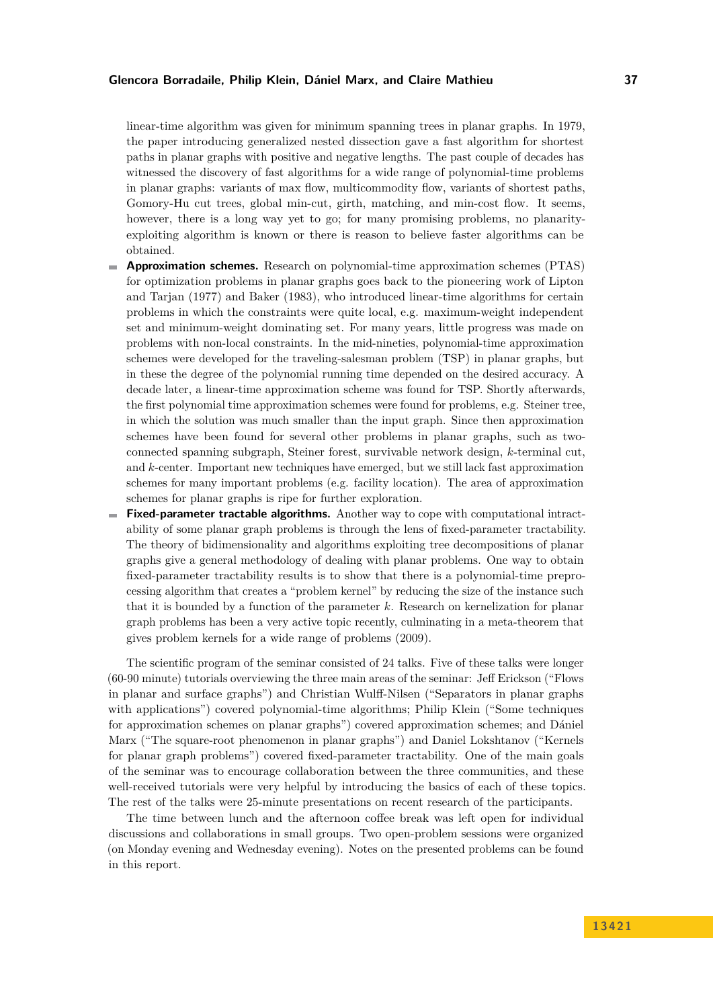### **Glencora Borradaile, Philip Klein, Dániel Marx, and Claire Mathieu 37**

linear-time algorithm was given for minimum spanning trees in planar graphs. In 1979, the paper introducing generalized nested dissection gave a fast algorithm for shortest paths in planar graphs with positive and negative lengths. The past couple of decades has witnessed the discovery of fast algorithms for a wide range of polynomial-time problems in planar graphs: variants of max flow, multicommodity flow, variants of shortest paths, Gomory-Hu cut trees, global min-cut, girth, matching, and min-cost flow. It seems, however, there is a long way yet to go; for many promising problems, no planarityexploiting algorithm is known or there is reason to believe faster algorithms can be obtained.

- **Approximation schemes.** Research on polynomial-time approximation schemes (PTAS)  $\blacksquare$ for optimization problems in planar graphs goes back to the pioneering work of Lipton and Tarjan (1977) and Baker (1983), who introduced linear-time algorithms for certain problems in which the constraints were quite local, e.g. maximum-weight independent set and minimum-weight dominating set. For many years, little progress was made on problems with non-local constraints. In the mid-nineties, polynomial-time approximation schemes were developed for the traveling-salesman problem (TSP) in planar graphs, but in these the degree of the polynomial running time depended on the desired accuracy. A decade later, a linear-time approximation scheme was found for TSP. Shortly afterwards, the first polynomial time approximation schemes were found for problems, e.g. Steiner tree, in which the solution was much smaller than the input graph. Since then approximation schemes have been found for several other problems in planar graphs, such as twoconnected spanning subgraph, Steiner forest, survivable network design, *k*-terminal cut, and *k*-center. Important new techniques have emerged, but we still lack fast approximation schemes for many important problems (e.g. facility location). The area of approximation schemes for planar graphs is ripe for further exploration.
- **Fixed-parameter tractable algorithms.** Another way to cope with computational intractability of some planar graph problems is through the lens of fixed-parameter tractability. The theory of bidimensionality and algorithms exploiting tree decompositions of planar graphs give a general methodology of dealing with planar problems. One way to obtain fixed-parameter tractability results is to show that there is a polynomial-time preprocessing algorithm that creates a "problem kernel" by reducing the size of the instance such that it is bounded by a function of the parameter *k*. Research on kernelization for planar graph problems has been a very active topic recently, culminating in a meta-theorem that gives problem kernels for a wide range of problems (2009).

The scientific program of the seminar consisted of 24 talks. Five of these talks were longer (60-90 minute) tutorials overviewing the three main areas of the seminar: Jeff Erickson ("Flows in planar and surface graphs") and Christian Wulff-Nilsen ("Separators in planar graphs with applications") covered polynomial-time algorithms; Philip Klein ("Some techniques for approximation schemes on planar graphs") covered approximation schemes; and Dániel Marx ("The square-root phenomenon in planar graphs") and Daniel Lokshtanov ("Kernels for planar graph problems") covered fixed-parameter tractability. One of the main goals of the seminar was to encourage collaboration between the three communities, and these well-received tutorials were very helpful by introducing the basics of each of these topics. The rest of the talks were 25-minute presentations on recent research of the participants.

The time between lunch and the afternoon coffee break was left open for individual discussions and collaborations in small groups. Two open-problem sessions were organized (on Monday evening and Wednesday evening). Notes on the presented problems can be found in this report.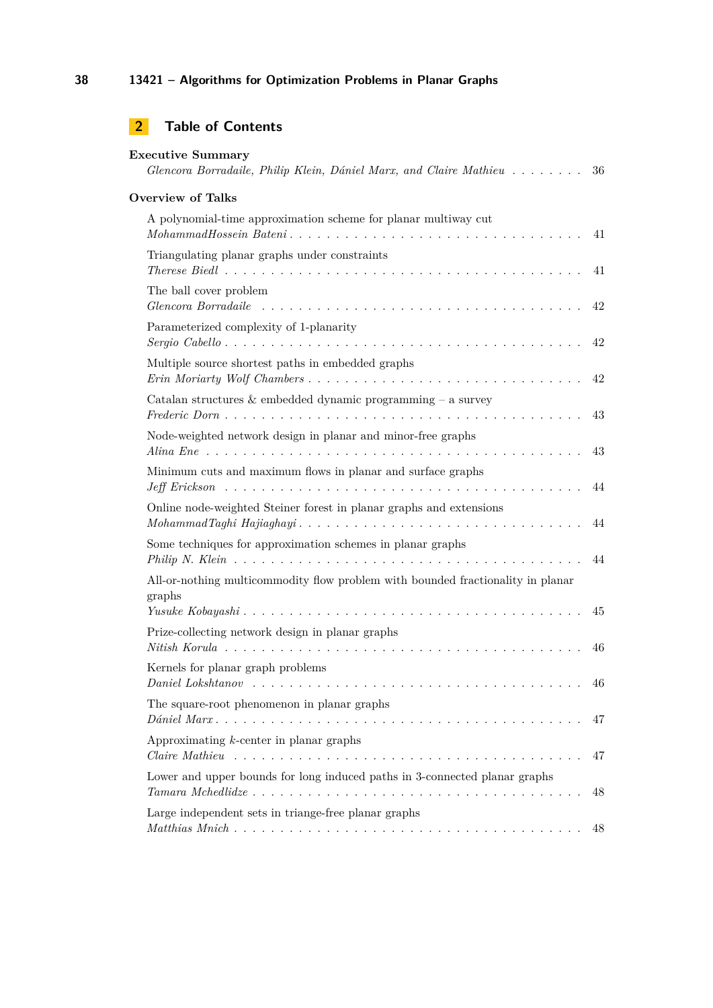| <b>Executive Summary</b><br>Glencora Borradaile, Philip Klein, Dániel Marx, and Claire Mathieu                                                                                    | 36     |
|-----------------------------------------------------------------------------------------------------------------------------------------------------------------------------------|--------|
| <b>Overview of Talks</b>                                                                                                                                                          |        |
| A polynomial-time approximation scheme for planar multiway cut                                                                                                                    | 41     |
| Triangulating planar graphs under constraints                                                                                                                                     | 41     |
| The ball cover problem                                                                                                                                                            | 42     |
| Parameterized complexity of 1-planarity<br>Sergio Cabello                                                                                                                         | 42     |
| Multiple source shortest paths in embedded graphs                                                                                                                                 | 42     |
| Catalan structures $\&$ embedded dynamic programming – a survey                                                                                                                   | 43     |
| Node-weighted network design in planar and minor-free graphs                                                                                                                      | 43     |
| Minimum cuts and maximum flows in planar and surface graphs                                                                                                                       | 44     |
| Online node-weighted Steiner forest in planar graphs and extensions                                                                                                               | 44     |
| Some techniques for approximation schemes in planar graphs                                                                                                                        | 44     |
| All-or-nothing multicommodity flow problem with bounded fractionality in planar<br>graphs                                                                                         |        |
| Prize-collecting network design in planar graphs                                                                                                                                  | 45     |
|                                                                                                                                                                                   | 46     |
| Kernels for planar graph problems                                                                                                                                                 | $46\,$ |
| The square-root phenomenon in planar graphs                                                                                                                                       | 47     |
| Approximating $k$ -center in planar graphs                                                                                                                                        | 47     |
| Lower and upper bounds for long induced paths in 3-connected planar graphs<br>$Tamana \; Mchedlidze \ldots \ldots \ldots \ldots \ldots \ldots \ldots \ldots \ldots \ldots \ldots$ | 48     |
| Large independent sets in triange-free planar graphs                                                                                                                              | 48     |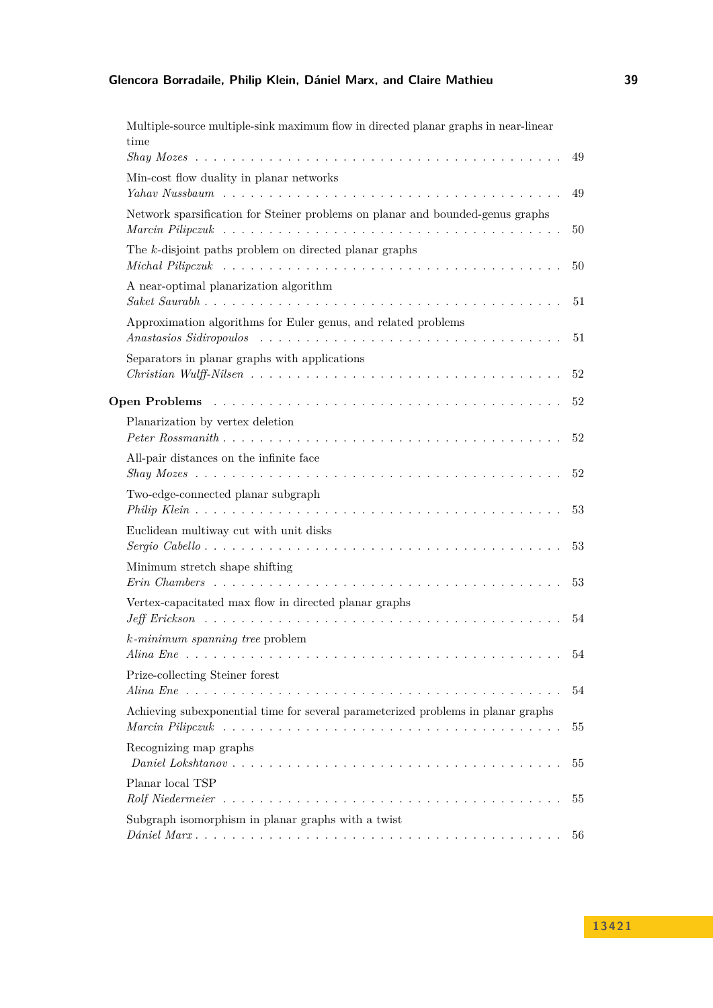# **Glencora Borradaile, Philip Klein, Dániel Marx, and Claire Mathieu 39**

| Multiple-source multiple-sink maximum flow in directed planar graphs in near-linear<br>time                                                                                                        | 49 |
|----------------------------------------------------------------------------------------------------------------------------------------------------------------------------------------------------|----|
| Min-cost flow duality in planar networks                                                                                                                                                           | 49 |
| Network sparsification for Steiner problems on planar and bounded-genus graphs                                                                                                                     | 50 |
| The k-disjoint paths problem on directed planar graphs                                                                                                                                             | 50 |
| A near-optimal planarization algorithm                                                                                                                                                             | 51 |
| Approximation algorithms for Euler genus, and related problems                                                                                                                                     | 51 |
| Separators in planar graphs with applications                                                                                                                                                      | 52 |
|                                                                                                                                                                                                    | 52 |
| Planarization by vertex deletion                                                                                                                                                                   | 52 |
| All-pair distances on the infinite face                                                                                                                                                            | 52 |
| Two-edge-connected planar subgraph                                                                                                                                                                 | 53 |
| Euclidean multiway cut with unit disks                                                                                                                                                             | 53 |
| Minimum stretch shape shifting                                                                                                                                                                     | 53 |
| Vertex-capacitated max flow in directed planar graphs                                                                                                                                              | 54 |
| $k$ -minimum spanning tree problem<br>Alina Ene<br>a di serie della condita della condita                                                                                                          | 54 |
| Prize-collecting Steiner forest                                                                                                                                                                    | 54 |
| Achieving subexponential time for several parameterized problems in planar graphs<br>Marcin Pilipczuk $\ldots \ldots \ldots \ldots \ldots \ldots \ldots \ldots \ldots \ldots \ldots \ldots \ldots$ | 55 |
| Recognizing map graphs                                                                                                                                                                             | 55 |
| Planar local TSP                                                                                                                                                                                   | 55 |
| Subgraph isomorphism in planar graphs with a twist                                                                                                                                                 | 56 |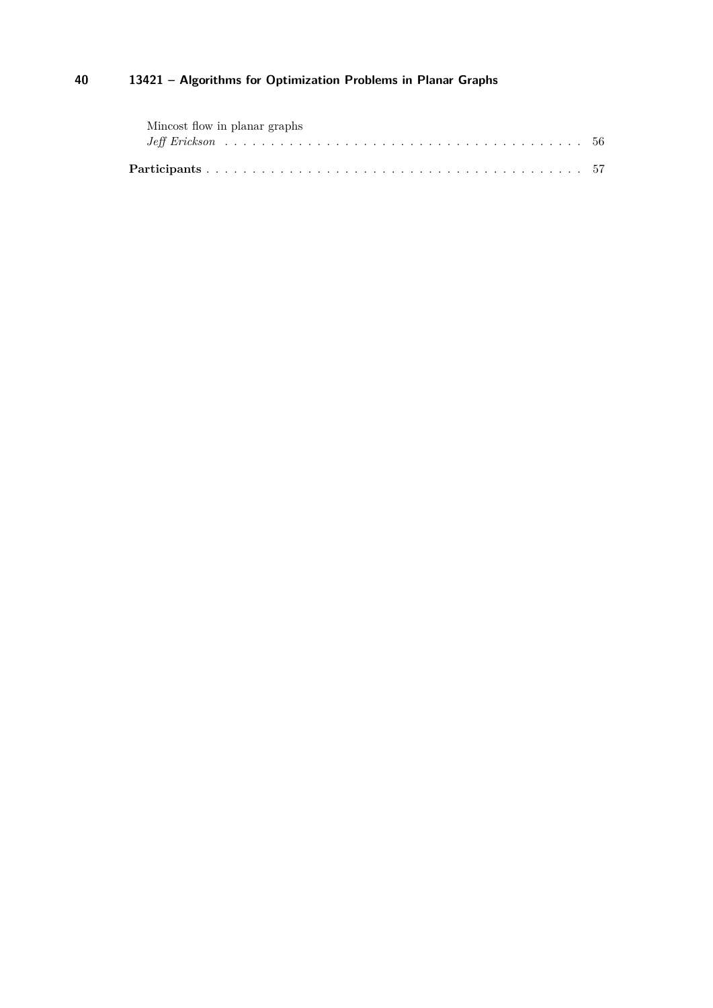| Mincost flow in planar graphs |  |  |  |  |
|-------------------------------|--|--|--|--|
|                               |  |  |  |  |
|                               |  |  |  |  |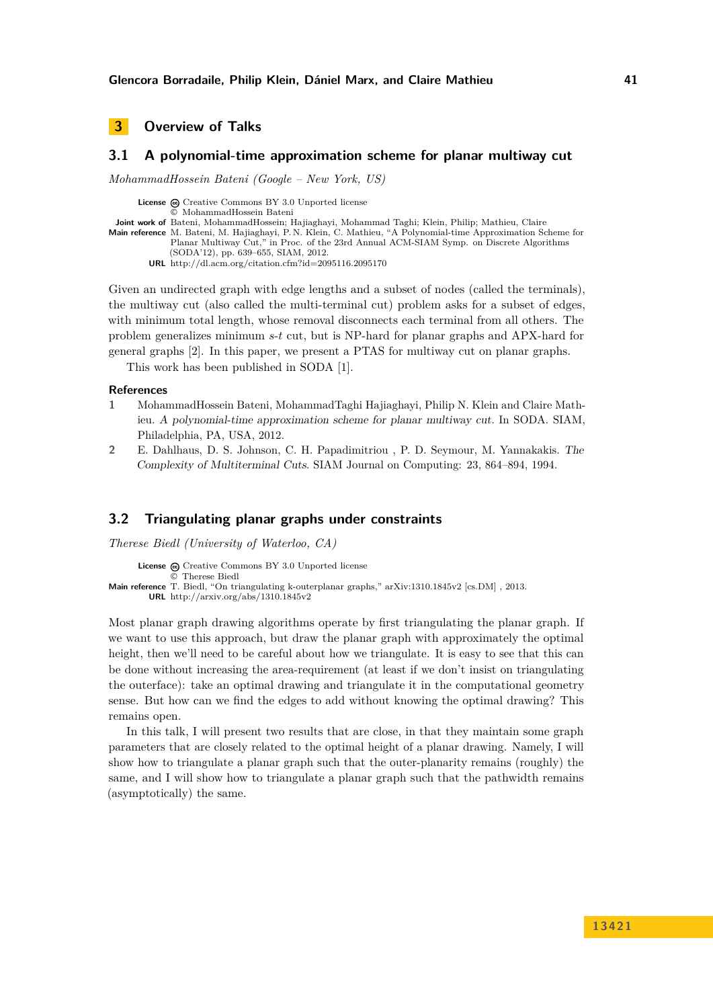# <span id="page-5-0"></span>**3 Overview of Talks**

# <span id="page-5-1"></span>**3.1 A polynomial-time approximation scheme for planar multiway cut**

*MohammadHossein Bateni (Google – New York, US)*

License  $\textcircled{c}$  [Creative Commons BY 3.0 Unported](http://creativecommons.org/licenses/by/3.0/) license © [MohammadHossein Bateni](#page-5-1) **Joint work of** Bateni, MohammadHossein; Hajiaghayi, Mohammad Taghi; Klein, Philip; Mathieu, Claire **Main reference** [M. Bateni, M. Hajiaghayi, P. N. Klein, C. Mathieu, "A Polynomial-time Approximation Scheme for](http://dl.acm.org/citation.cfm?id=2095116.2095170) [Planar Multiway Cut," in Proc. of the 23rd Annual ACM-SIAM Symp. on Discrete Algorithms](http://dl.acm.org/citation.cfm?id=2095116.2095170) [\(SODA'12\), pp. 639–655, SIAM, 2012.](http://dl.acm.org/citation.cfm?id=2095116.2095170) **URL** <http://dl.acm.org/citation.cfm?id=2095116.2095170>

Given an undirected graph with edge lengths and a subset of nodes (called the terminals), the multiway cut (also called the multi-terminal cut) problem asks for a subset of edges, with minimum total length, whose removal disconnects each terminal from all others. The problem generalizes minimum *s*-*t* cut, but is NP-hard for planar graphs and APX-hard for general graphs [\[2\]](#page-5-3). In this paper, we present a PTAS for multiway cut on planar graphs.

This work has been published in SODA [\[1\]](#page-5-4).

### **References**

- <span id="page-5-4"></span>**1** MohammadHossein Bateni, MohammadTaghi Hajiaghayi, Philip N. Klein and Claire Mathieu. A polynomial-time approximation scheme for planar multiway cut. In SODA. SIAM, Philadelphia, PA, USA, 2012.
- <span id="page-5-3"></span>**2** E. Dahlhaus, D. S. Johnson, C. H. Papadimitriou , P. D. Seymour, M. Yannakakis. The Complexity of Multiterminal Cuts. SIAM Journal on Computing: 23, 864–894, 1994.

## <span id="page-5-2"></span>**3.2 Triangulating planar graphs under constraints**

*Therese Biedl (University of Waterloo, CA)*

```
License \textcircled{c}Creative Commons BY 3.0 Unported license
                 © Therese Biedl
Main reference T. Biedl, "On triangulating k-outerplanar graphs," arXiv:1310.1845v2 [cs.DM] , 2013.
         URL http://arxiv.org/abs/1310.1845v2
```
Most planar graph drawing algorithms operate by first triangulating the planar graph. If we want to use this approach, but draw the planar graph with approximately the optimal height, then we'll need to be careful about how we triangulate. It is easy to see that this can be done without increasing the area-requirement (at least if we don't insist on triangulating the outerface): take an optimal drawing and triangulate it in the computational geometry sense. But how can we find the edges to add without knowing the optimal drawing? This remains open.

In this talk, I will present two results that are close, in that they maintain some graph parameters that are closely related to the optimal height of a planar drawing. Namely, I will show how to triangulate a planar graph such that the outer-planarity remains (roughly) the same, and I will show how to triangulate a planar graph such that the pathwidth remains (asymptotically) the same.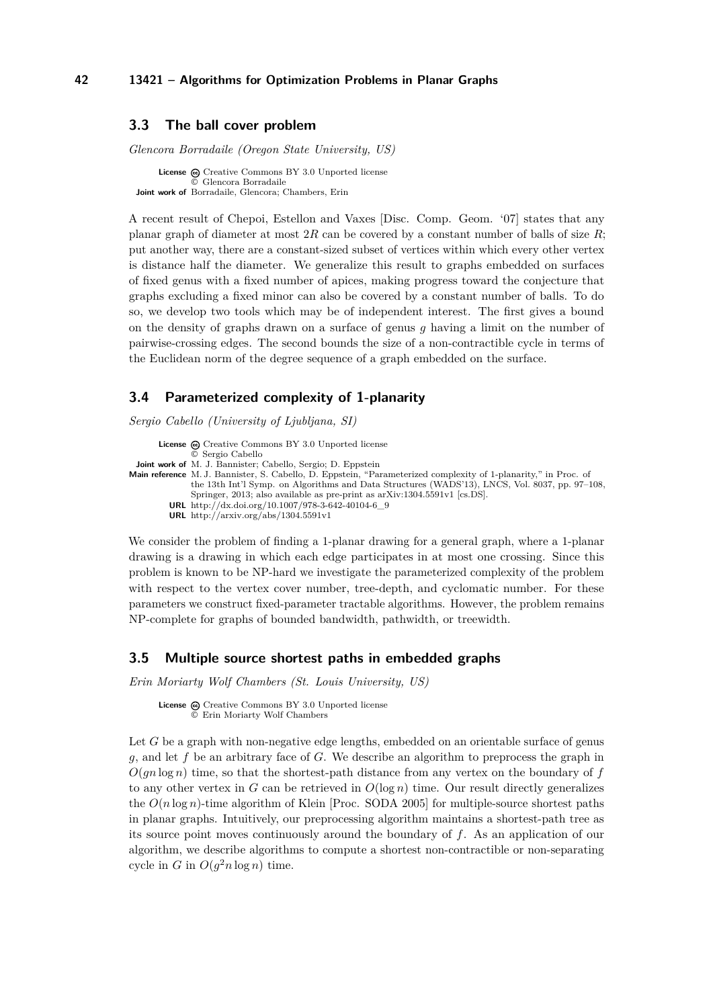# <span id="page-6-0"></span>**3.3 The ball cover problem**

*Glencora Borradaile (Oregon State University, US)*

**License**  $\odot$  [Creative Commons BY 3.0 Unported](http://creativecommons.org/licenses/by/3.0/) license © [Glencora Borradaile](#page-6-0) **Joint work of** Borradaile, Glencora; Chambers, Erin

A recent result of Chepoi, Estellon and Vaxes [Disc. Comp. Geom. '07] states that any planar graph of diameter at most 2*R* can be covered by a constant number of balls of size *R*; put another way, there are a constant-sized subset of vertices within which every other vertex is distance half the diameter. We generalize this result to graphs embedded on surfaces of fixed genus with a fixed number of apices, making progress toward the conjecture that graphs excluding a fixed minor can also be covered by a constant number of balls. To do so, we develop two tools which may be of independent interest. The first gives a bound on the density of graphs drawn on a surface of genus *g* having a limit on the number of pairwise-crossing edges. The second bounds the size of a non-contractible cycle in terms of the Euclidean norm of the degree sequence of a graph embedded on the surface.

### <span id="page-6-1"></span>**3.4 Parameterized complexity of 1-planarity**

*Sergio Cabello (University of Ljubljana, SI)*

**License**  $\textcircled{c}$  [Creative Commons BY 3.0 Unported](http://creativecommons.org/licenses/by/3.0/) license © [Sergio Cabello](#page-6-1) **Joint work of** M. J. Bannister; Cabello, Sergio; D. Eppstein **Main reference** [M. J. Bannister, S. Cabello, D. Eppstein, "Parameterized complexity of 1-planarity," in Proc. of](http://dx.doi.org/10.1007/978-3-642-40104-6_9) [the 13th Int'l Symp. on Algorithms and Data Structures \(WADS'13\), LNCS, Vol. 8037, pp. 97–108,](http://dx.doi.org/10.1007/978-3-642-40104-6_9) [Springer, 2013; also available as pre-print as arXiv:1304.5591v1 \[cs.DS\].](http://dx.doi.org/10.1007/978-3-642-40104-6_9) **URL** [http://dx.doi.org/10.1007/978-3-642-40104-6\\_9](http://dx.doi.org/10.1007/978-3-642-40104-6_9) **URL** <http://arxiv.org/abs/1304.5591v1>

We consider the problem of finding a 1-planar drawing for a general graph, where a 1-planar drawing is a drawing in which each edge participates in at most one crossing. Since this problem is known to be NP-hard we investigate the parameterized complexity of the problem with respect to the vertex cover number, tree-depth, and cyclomatic number. For these parameters we construct fixed-parameter tractable algorithms. However, the problem remains NP-complete for graphs of bounded bandwidth, pathwidth, or treewidth.

# <span id="page-6-2"></span>**3.5 Multiple source shortest paths in embedded graphs**

*Erin Moriarty Wolf Chambers (St. Louis University, US)*

License  $\textcircled{c}$  [Creative Commons BY 3.0 Unported](http://creativecommons.org/licenses/by/3.0/) license © [Erin Moriarty Wolf Chambers](#page-6-2)

Let *G* be a graph with non-negative edge lengths, embedded on an orientable surface of genus *g*, and let *f* be an arbitrary face of *G*. We describe an algorithm to preprocess the graph in  $O(qn \log n)$  time, so that the shortest-path distance from any vertex on the boundary of *f* to any other vertex in *G* can be retrieved in  $O(\log n)$  time. Our result directly generalizes the *O*(*n* log *n*)-time algorithm of Klein [Proc. SODA 2005] for multiple-source shortest paths in planar graphs. Intuitively, our preprocessing algorithm maintains a shortest-path tree as its source point moves continuously around the boundary of *f*. As an application of our algorithm, we describe algorithms to compute a shortest non-contractible or non-separating cycle in  $G$  in  $O(g^2 n \log n)$  time.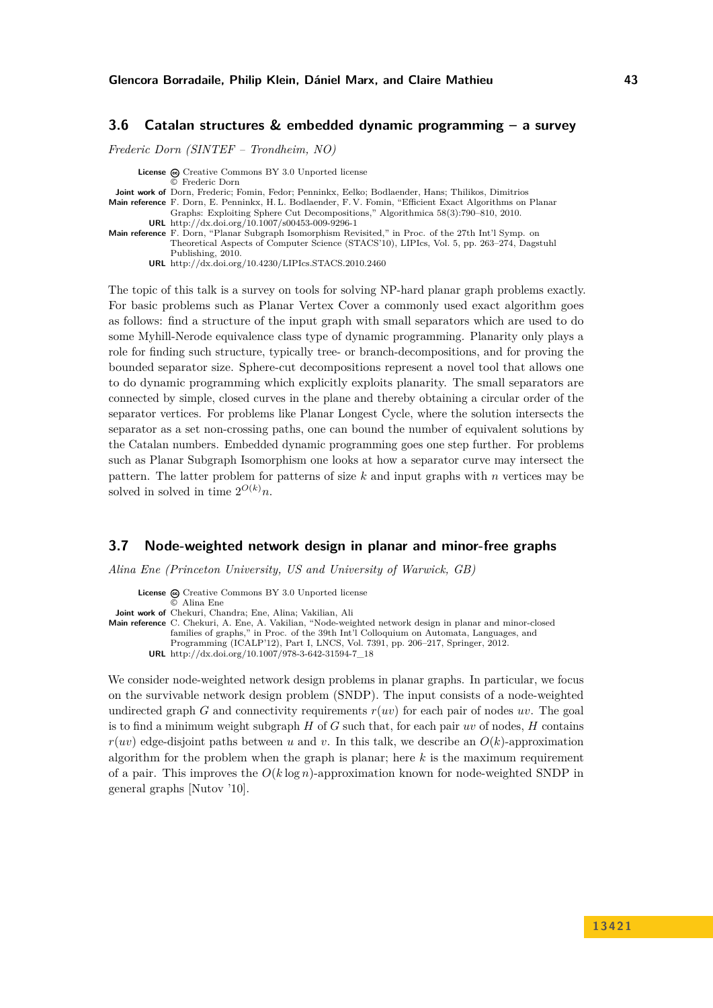# <span id="page-7-0"></span>**3.6 Catalan structures & embedded dynamic programming – a survey**

*Frederic Dorn (SINTEF – Trondheim, NO)*

**License**  $\textcircled{e}$  [Creative Commons BY 3.0 Unported](http://creativecommons.org/licenses/by/3.0/) license © [Frederic Dorn](#page-7-0) **Joint work of** Dorn, Frederic; Fomin, Fedor; Penninkx, Eelko; Bodlaender, Hans; Thilikos, Dimitrios **Main reference** [F. Dorn, E. Penninkx, H. L. Bodlaender, F. V. Fomin, "Efficient Exact Algorithms on Planar](http://dx.doi.org/10.1007/s00453-009-9296-1) [Graphs: Exploiting Sphere Cut Decompositions," Algorithmica 58\(3\):790–810, 2010.](http://dx.doi.org/10.1007/s00453-009-9296-1) **URL** <http://dx.doi.org/10.1007/s00453-009-9296-1> Main reference [F. Dorn, "Planar Subgraph Isomorphism Revisited," in Proc. of the 27th Int'l Symp. on](http://dx.doi.org/10.4230/LIPIcs.STACS.2010.2460) [Theoretical Aspects of Computer Science \(STACS'10\), LIPIcs, Vol. 5, pp. 263–274, Dagstuhl](http://dx.doi.org/10.4230/LIPIcs.STACS.2010.2460) [Publishing, 2010.](http://dx.doi.org/10.4230/LIPIcs.STACS.2010.2460) **URL** <http://dx.doi.org/10.4230/LIPIcs.STACS.2010.2460>

The topic of this talk is a survey on tools for solving NP-hard planar graph problems exactly. For basic problems such as Planar Vertex Cover a commonly used exact algorithm goes as follows: find a structure of the input graph with small separators which are used to do some Myhill-Nerode equivalence class type of dynamic programming. Planarity only plays a role for finding such structure, typically tree- or branch-decompositions, and for proving the bounded separator size. Sphere-cut decompositions represent a novel tool that allows one to do dynamic programming which explicitly exploits planarity. The small separators are connected by simple, closed curves in the plane and thereby obtaining a circular order of the separator vertices. For problems like Planar Longest Cycle, where the solution intersects the separator as a set non-crossing paths, one can bound the number of equivalent solutions by the Catalan numbers. Embedded dynamic programming goes one step further. For problems such as Planar Subgraph Isomorphism one looks at how a separator curve may intersect the pattern. The latter problem for patterns of size *k* and input graphs with *n* vertices may be solved in solved in time  $2^{O(k)}n$ .

# <span id="page-7-1"></span>**3.7 Node-weighted network design in planar and minor-free graphs**

*Alina Ene (Princeton University, US and University of Warwick, GB)*

License  $\odot$  [Creative Commons BY 3.0 Unported](http://creativecommons.org/licenses/by/3.0/) license © [Alina Ene](#page-7-1) **Joint work of** Chekuri, Chandra; Ene, Alina; Vakilian, Ali **Main reference** [C. Chekuri, A. Ene, A. Vakilian, "Node-weighted network design in planar and minor-closed](http://dx.doi.org/10.1007/978-3-642-31594-7_18) [families of graphs," in Proc. of the 39th Int'l Colloquium on Automata, Languages, and](http://dx.doi.org/10.1007/978-3-642-31594-7_18) [Programming \(ICALP'12\), Part I, LNCS, Vol. 7391, pp. 206–217, Springer, 2012.](http://dx.doi.org/10.1007/978-3-642-31594-7_18) **URL** [http://dx.doi.org/10.1007/978-3-642-31594-7\\_18](http://dx.doi.org/10.1007/978-3-642-31594-7_18) We consider node-weighted network design problems in planar graphs. In particular, we focus

on the survivable network design problem (SNDP). The input consists of a node-weighted undirected graph *G* and connectivity requirements  $r(uv)$  for each pair of nodes  $uv$ . The goal is to find a minimum weight subgraph *H* of *G* such that, for each pair *uv* of nodes, *H* contains  $r(uv)$  edge-disjoint paths between *u* and *v*. In this talk, we describe an  $O(k)$ -approximation algorithm for the problem when the graph is planar; here *k* is the maximum requirement of a pair. This improves the *O*(*k* log *n*)-approximation known for node-weighted SNDP in general graphs [Nutov '10].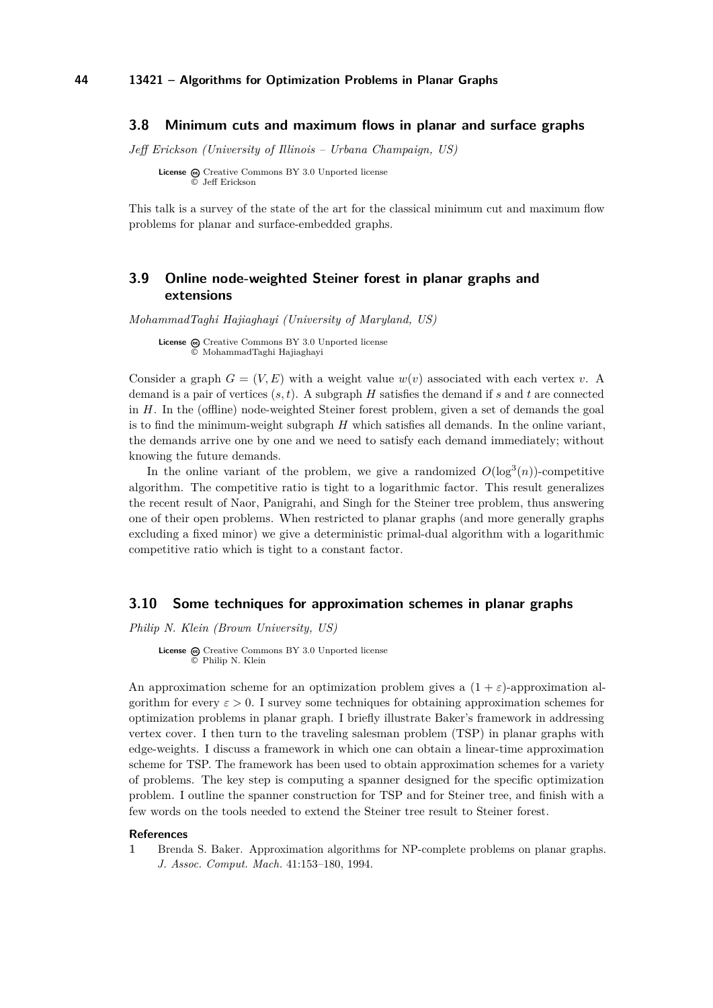### <span id="page-8-0"></span>**3.8 Minimum cuts and maximum flows in planar and surface graphs**

*Jeff Erickson (University of Illinois – Urbana Champaign, US)*

**License**  $\odot$  [Creative Commons BY 3.0 Unported](http://creativecommons.org/licenses/by/3.0/) license © [Jeff Erickson](#page-8-0)

This talk is a survey of the state of the art for the classical minimum cut and maximum flow problems for planar and surface-embedded graphs.

# <span id="page-8-1"></span>**3.9 Online node-weighted Steiner forest in planar graphs and extensions**

*MohammadTaghi Hajiaghayi (University of Maryland, US)*

License  $\textcircled{c}$  [Creative Commons BY 3.0 Unported](http://creativecommons.org/licenses/by/3.0/) license © [MohammadTaghi Hajiaghayi](#page-8-1)

Consider a graph  $G = (V, E)$  with a weight value  $w(v)$  associated with each vertex *v*. A demand is a pair of vertices (*s, t*). A subgraph *H* satisfies the demand if *s* and *t* are connected in *H*. In the (offline) node-weighted Steiner forest problem, given a set of demands the goal is to find the minimum-weight subgraph *H* which satisfies all demands. In the online variant, the demands arrive one by one and we need to satisfy each demand immediately; without knowing the future demands.

In the online variant of the problem, we give a randomized  $O(\log^3(n))$ -competitive algorithm. The competitive ratio is tight to a logarithmic factor. This result generalizes the recent result of Naor, Panigrahi, and Singh for the Steiner tree problem, thus answering one of their open problems. When restricted to planar graphs (and more generally graphs excluding a fixed minor) we give a deterministic primal-dual algorithm with a logarithmic competitive ratio which is tight to a constant factor.

### <span id="page-8-2"></span>**3.10 Some techniques for approximation schemes in planar graphs**

*Philip N. Klein (Brown University, US)*

License  $\textcircled{c}$  [Creative Commons BY 3.0 Unported](http://creativecommons.org/licenses/by/3.0/) license © [Philip N. Klein](#page-8-2)

An approximation scheme for an optimization problem gives a  $(1 + \varepsilon)$ -approximation algorithm for every  $\varepsilon > 0$ . I survey some techniques for obtaining approximation schemes for optimization problems in planar graph. I briefly illustrate Baker's framework in addressing vertex cover. I then turn to the traveling salesman problem (TSP) in planar graphs with edge-weights. I discuss a framework in which one can obtain a linear-time approximation scheme for TSP. The framework has been used to obtain approximation schemes for a variety of problems. The key step is computing a spanner designed for the specific optimization problem. I outline the spanner construction for TSP and for Steiner tree, and finish with a few words on the tools needed to extend the Steiner tree result to Steiner forest.

#### **References**

**1** Brenda S. Baker. Approximation algorithms for NP-complete problems on planar graphs. *J. Assoc. Comput. Mach.* 41:153–180, 1994.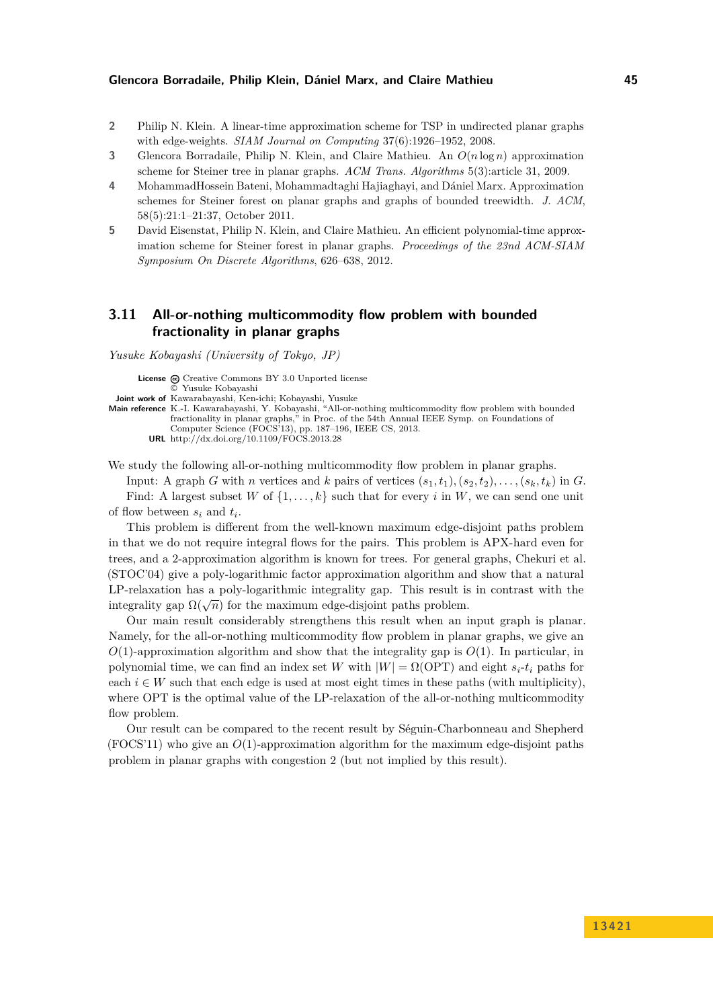- **2** Philip N. Klein. A linear-time approximation scheme for TSP in undirected planar graphs with edge-weights. *SIAM Journal on Computing* 37(6):1926–1952, 2008.
- **3** Glencora Borradaile, Philip N. Klein, and Claire Mathieu. An *O*(*n* log *n*) approximation scheme for Steiner tree in planar graphs. *ACM Trans. Algorithms* 5(3):article 31, 2009.
- **4** MohammadHossein Bateni, Mohammadtaghi Hajiaghayi, and Dániel Marx. Approximation schemes for Steiner forest on planar graphs and graphs of bounded treewidth. *J. ACM*, 58(5):21:1–21:37, October 2011.
- **5** David Eisenstat, Philip N. Klein, and Claire Mathieu. An efficient polynomial-time approximation scheme for Steiner forest in planar graphs. *Proceedings of the 23nd ACM-SIAM Symposium On Discrete Algorithms*, 626–638, 2012.

# <span id="page-9-0"></span>**3.11 All-or-nothing multicommodity flow problem with bounded fractionality in planar graphs**

*Yusuke Kobayashi (University of Tokyo, JP)*

License  $\odot$  [Creative Commons BY 3.0 Unported](http://creativecommons.org/licenses/by/3.0/) license © [Yusuke Kobayashi](#page-9-0) **Joint work of** Kawarabayashi, Ken-ichi; Kobayashi, Yusuke **Main reference** [K.-I. Kawarabayashi, Y. Kobayashi, "All-or-nothing multicommodity flow problem with bounded](http://dx.doi.org/10.1109/FOCS.2013.28) [fractionality in planar graphs," in Proc. of the 54th Annual IEEE Symp. on Foundations of](http://dx.doi.org/10.1109/FOCS.2013.28) [Computer Science \(FOCS'13\), pp. 187–196, IEEE CS, 2013.](http://dx.doi.org/10.1109/FOCS.2013.28) **URL** <http://dx.doi.org/10.1109/FOCS.2013.28>

We study the following all-or-nothing multicommodity flow problem in planar graphs.

Input: A graph *G* with *n* vertices and *k* pairs of vertices  $(s_1, t_1), (s_2, t_2), \ldots, (s_k, t_k)$  in *G*. Find: A largest subset *W* of  $\{1, \ldots, k\}$  such that for every *i* in *W*, we can send one unit of flow between *s<sup>i</sup>* and *t<sup>i</sup>* .

This problem is different from the well-known maximum edge-disjoint paths problem in that we do not require integral flows for the pairs. This problem is APX-hard even for trees, and a 2-approximation algorithm is known for trees. For general graphs, Chekuri et al. (STOC'04) give a poly-logarithmic factor approximation algorithm and show that a natural LP-relaxation has a poly-logarithmic integrality gap. This result is in contrast with the  $\lim_{\alpha \to 0} \frac{\log n}{\log n}$  for the maximum edge-disjoint paths problem.

Our main result considerably strengthens this result when an input graph is planar. Namely, for the all-or-nothing multicommodity flow problem in planar graphs, we give an  $O(1)$ -approximation algorithm and show that the integrality gap is  $O(1)$ . In particular, in polynomial time, we can find an index set *W* with  $|W| = \Omega(OPT)$  and eight  $s_i$ - $t_i$  paths for each  $i \in W$  such that each edge is used at most eight times in these paths (with multiplicity), where OPT is the optimal value of the LP-relaxation of the all-or-nothing multicommodity flow problem.

Our result can be compared to the recent result by Séguin-Charbonneau and Shepherd (FOCS'11) who give an *O*(1)-approximation algorithm for the maximum edge-disjoint paths problem in planar graphs with congestion 2 (but not implied by this result).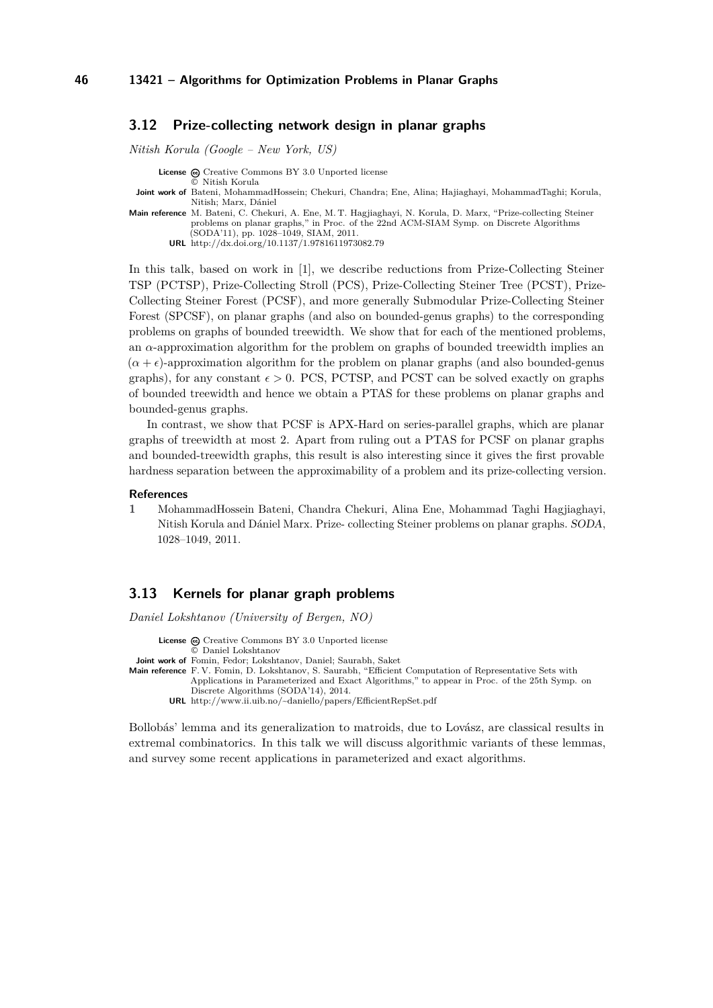### <span id="page-10-0"></span>**3.12 Prize-collecting network design in planar graphs**

*Nitish Korula (Google – New York, US)*

**License**  $\odot$  [Creative Commons BY 3.0 Unported](http://creativecommons.org/licenses/by/3.0/) license

© [Nitish Korula](#page-10-0)

- **Joint work of** Bateni, MohammadHossein; Chekuri, Chandra; Ene, Alina; Hajiaghayi, MohammadTaghi; Korula, Nitish; Marx, Dániel
- **Main reference** [M. Bateni, C. Chekuri, A. Ene, M. T. Hagjiaghayi, N. Korula, D. Marx, "Prize-collecting Steiner](http://dx.doi.org/10.1137/1.9781611973082.79) [problems on planar graphs," in Proc. of the 22nd ACM-SIAM Symp. on Discrete Algorithms](http://dx.doi.org/10.1137/1.9781611973082.79) [\(SODA'11\), pp. 1028–1049, SIAM, 2011.](http://dx.doi.org/10.1137/1.9781611973082.79)

**URL** <http://dx.doi.org/10.1137/1.9781611973082.79>

In this talk, based on work in [\[1\]](#page-10-2), we describe reductions from Prize-Collecting Steiner TSP (PCTSP), Prize-Collecting Stroll (PCS), Prize-Collecting Steiner Tree (PCST), Prize-Collecting Steiner Forest (PCSF), and more generally Submodular Prize-Collecting Steiner Forest (SPCSF), on planar graphs (and also on bounded-genus graphs) to the corresponding problems on graphs of bounded treewidth. We show that for each of the mentioned problems, an  $\alpha$ -approximation algorithm for the problem on graphs of bounded treewidth implies an  $(\alpha + \epsilon)$ -approximation algorithm for the problem on planar graphs (and also bounded-genus graphs), for any constant  $\epsilon > 0$ . PCS, PCTSP, and PCST can be solved exactly on graphs of bounded treewidth and hence we obtain a PTAS for these problems on planar graphs and bounded-genus graphs.

In contrast, we show that PCSF is APX-Hard on series-parallel graphs, which are planar graphs of treewidth at most 2. Apart from ruling out a PTAS for PCSF on planar graphs and bounded-treewidth graphs, this result is also interesting since it gives the first provable hardness separation between the approximability of a problem and its prize-collecting version.

#### **References**

<span id="page-10-2"></span>**1** MohammadHossein Bateni, Chandra Chekuri, Alina Ene, Mohammad Taghi Hagjiaghayi, Nitish Korula and Dániel Marx. Prize- collecting Steiner problems on planar graphs. SODA, 1028–1049, 2011.

#### <span id="page-10-1"></span>**3.13 Kernels for planar graph problems**

*Daniel Lokshtanov (University of Bergen, NO)*

License  $\bigcirc$  [Creative Commons BY 3.0 Unported](http://creativecommons.org/licenses/by/3.0/) license © [Daniel Lokshtanov](#page-10-1)

**Joint work of** Fomin, Fedor; Lokshtanov, Daniel; Saurabh, Saket

**Main reference** [F. V. Fomin, D. Lokshtanov, S. Saurabh, "Efficient Computation of Representative Sets with](http://www.ii.uib.no/~daniello/papers/EfficientRepSet.pdf) [Applications in Parameterized and Exact Algorithms," to appear in Proc. of the 25th Symp. on](http://www.ii.uib.no/~daniello/papers/EfficientRepSet.pdf) [Discrete Algorithms \(SODA'14\), 2014.](http://www.ii.uib.no/~daniello/papers/EfficientRepSet.pdf)

**URL** <http://www.ii.uib.no/~daniello/papers/EfficientRepSet.pdf>

Bollobás' lemma and its generalization to matroids, due to Lovász, are classical results in extremal combinatorics. In this talk we will discuss algorithmic variants of these lemmas, and survey some recent applications in parameterized and exact algorithms.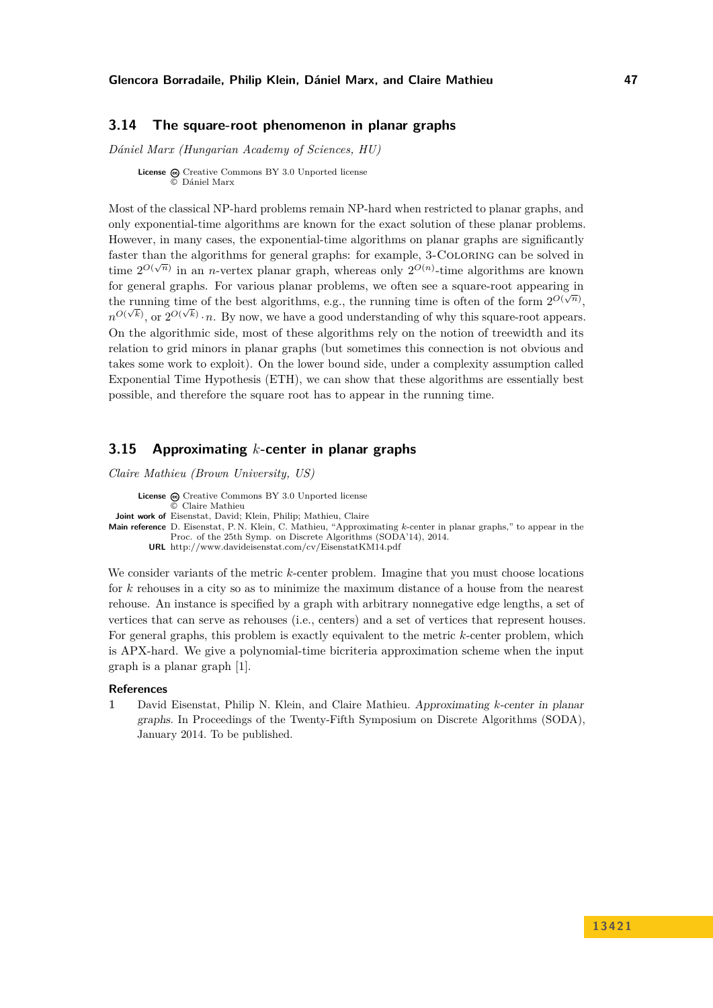# <span id="page-11-0"></span>**3.14 The square-root phenomenon in planar graphs**

*Dániel Marx (Hungarian Academy of Sciences, HU)*

**License**  $\textcircled{e}$  [Creative Commons BY 3.0 Unported](http://creativecommons.org/licenses/by/3.0/) license © [Dániel Marx](#page-11-0)

Most of the classical NP-hard problems remain NP-hard when restricted to planar graphs, and only exponential-time algorithms are known for the exact solution of these planar problems. However, in many cases, the exponential-time algorithms on planar graphs are significantly faster than the algorithms for general graphs: for example, 3-Coloring can be solved in time  $2^{O(\sqrt{n})}$  in an *n*-vertex planar graph, whereas only  $2^{O(n)}$ -time algorithms are known for general graphs. For various planar problems, we often see a square-root appearing in the running time of the best algorithms, e.g., the running time is often of the form  $2^{O(\sqrt{n})}$ ,  $n^{O(\sqrt{k})}$ , or  $2^{O(\sqrt{k})} \cdot n$ . By now, we have a good understanding of why this square-root appears. On the algorithmic side, most of these algorithms rely on the notion of treewidth and its relation to grid minors in planar graphs (but sometimes this connection is not obvious and takes some work to exploit). On the lower bound side, under a complexity assumption called Exponential Time Hypothesis (ETH), we can show that these algorithms are essentially best possible, and therefore the square root has to appear in the running time.

## <span id="page-11-1"></span>**3.15 Approximating** *k***-center in planar graphs**

*Claire Mathieu (Brown University, US)*

License  $\bigcirc$  [Creative Commons BY 3.0 Unported](http://creativecommons.org/licenses/by/3.0/) license © [Claire Mathieu](#page-11-1) **Joint work of** Eisenstat, David; Klein, Philip; Mathieu, Claire **Main reference** [D. Eisenstat, P. N. Klein, C. Mathieu, "Approximating](http://www.davideisenstat.com/cv/EisenstatKM14.pdf) *k*-center in planar graphs," to appear in the [Proc. of the 25th Symp. on Discrete Algorithms \(SODA'14\), 2014.](http://www.davideisenstat.com/cv/EisenstatKM14.pdf) **URL** <http://www.davideisenstat.com/cv/EisenstatKM14.pdf>

We consider variants of the metric *k*-center problem. Imagine that you must choose locations for *k* rehouses in a city so as to minimize the maximum distance of a house from the nearest rehouse. An instance is specified by a graph with arbitrary nonnegative edge lengths, a set of vertices that can serve as rehouses (i.e., centers) and a set of vertices that represent houses. For general graphs, this problem is exactly equivalent to the metric *k*-center problem, which is APX-hard. We give a polynomial-time bicriteria approximation scheme when the input graph is a planar graph [\[1\]](#page-11-2).

### **References**

<span id="page-11-2"></span>**1** David Eisenstat, Philip N. Klein, and Claire Mathieu. Approximating *k*-center in planar graphs. In Proceedings of the Twenty-Fifth Symposium on Discrete Algorithms (SODA), January 2014. To be published.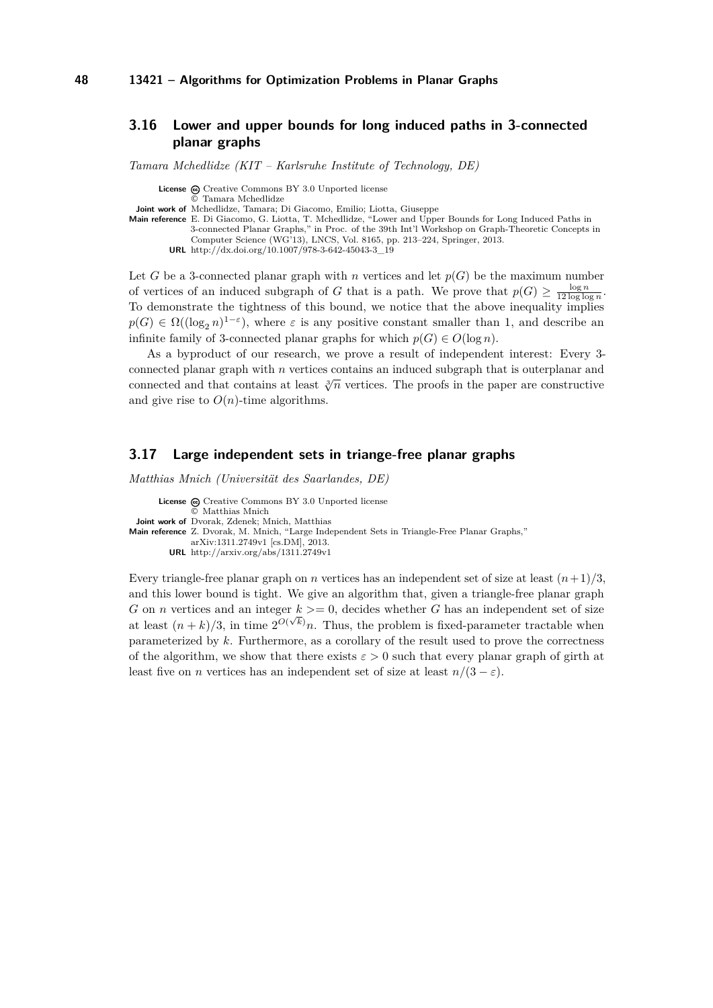# <span id="page-12-0"></span>**3.16 Lower and upper bounds for long induced paths in 3-connected planar graphs**

*Tamara Mchedlidze (KIT – Karlsruhe Institute of Technology, DE)*

License  $\textcircled{c}$  [Creative Commons BY 3.0 Unported](http://creativecommons.org/licenses/by/3.0/) license

© [Tamara Mchedlidze](#page-12-0)

**Joint work of** Mchedlidze, Tamara; Di Giacomo, Emilio; Liotta, Giuseppe

- **Main reference** [E. Di Giacomo, G. Liotta, T. Mchedlidze, "Lower and Upper Bounds for Long Induced Paths in](http://dx.doi.org/10.1007/978-3-642-45043-3_19) [3-connected Planar Graphs," in Proc. of the 39th Int'l Workshop on Graph-Theoretic Concepts in](http://dx.doi.org/10.1007/978-3-642-45043-3_19) [Computer Science \(WG'13\), LNCS, Vol. 8165, pp. 213–224, Springer, 2013.](http://dx.doi.org/10.1007/978-3-642-45043-3_19)
	- **URL** [http://dx.doi.org/10.1007/978-3-642-45043-3\\_19](http://dx.doi.org/10.1007/978-3-642-45043-3_19)

Let *G* be a 3-connected planar graph with *n* vertices and let  $p(G)$  be the maximum number of vertices of an induced subgraph of *G* that is a path. We prove that  $p(G) \geq \frac{\log n}{12 \log \log n}$ . To demonstrate the tightness of this bound, we notice that the above inequality implies  $p(G) \in \Omega((\log_2 n)^{1-\varepsilon})$ , where  $\varepsilon$  is any positive constant smaller than 1, and describe an infinite family of 3-connected planar graphs for which  $p(G) \in O(\log n)$ .

As a byproduct of our research, we prove a result of independent interest: Every 3 connected planar graph with *n* vertices contains an induced subgraph that is outerplanar and connected and that contains at least  $\sqrt[3]{n}$  vertices. The proofs in the paper are constructive and give rise to  $O(n)$ -time algorithms.

### <span id="page-12-1"></span>**3.17 Large independent sets in triange-free planar graphs**

*Matthias Mnich (Universität des Saarlandes, DE)*

License  $\textcircled{c}$  [Creative Commons BY 3.0 Unported](http://creativecommons.org/licenses/by/3.0/) license © [Matthias Mnich](#page-12-1) **Joint work of** Dvorak, Zdenek; Mnich, Matthias **Main reference** [Z. Dvorak, M. Mnich, "Large Independent Sets in Triangle-Free Planar Graphs,"](http://arxiv.org/abs/1311.2749v1) [arXiv:1311.2749v1 \[cs.DM\], 2013.](http://arxiv.org/abs/1311.2749v1) **URL** <http://arxiv.org/abs/1311.2749v1>

Every triangle-free planar graph on *n* vertices has an independent set of size at least  $(n+1)/3$ , and this lower bound is tight. We give an algorithm that, given a triangle-free planar graph G on *n* vertices and an integer  $k \geq 0$ , decides whether G has an independent set of size at least  $(n+k)/3$ , in time  $2^{O(\sqrt{k})}n$ . Thus, the problem is fixed-parameter tractable when parameterized by *k*. Furthermore, as a corollary of the result used to prove the correctness of the algorithm, we show that there exists  $\varepsilon > 0$  such that every planar graph of girth at least five on *n* vertices has an independent set of size at least  $n/(3 - \varepsilon)$ .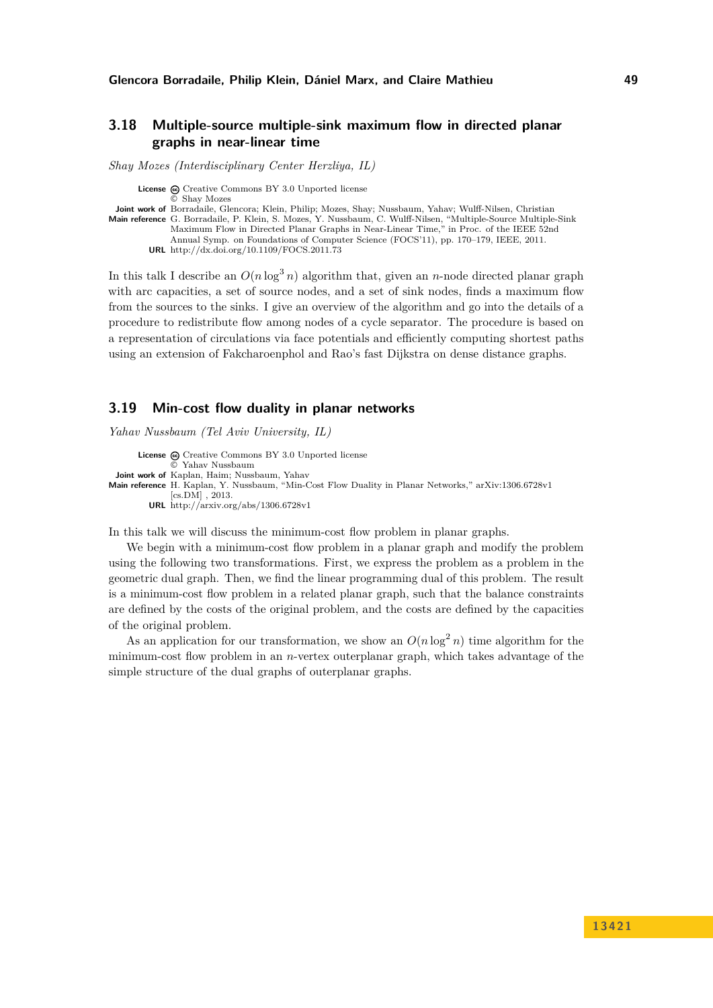# <span id="page-13-0"></span>**3.18 Multiple-source multiple-sink maximum flow in directed planar graphs in near-linear time**

*Shay Mozes (Interdisciplinary Center Herzliya, IL)*

**License**  $\textcircled{e}$  [Creative Commons BY 3.0 Unported](http://creativecommons.org/licenses/by/3.0/) license © [Shay Mozes](#page-13-0) **Joint work of** Borradaile, Glencora; Klein, Philip; Mozes, Shay; Nussbaum, Yahav; Wulff-Nilsen, Christian **Main reference** [G. Borradaile, P. Klein, S. Mozes, Y. Nussbaum, C. Wulff-Nilsen, "Multiple-Source Multiple-Sink](http://dx.doi.org/10.1109/FOCS.2011.73) [Maximum Flow in Directed Planar Graphs in Near-Linear Time," in Proc. of the IEEE 52nd](http://dx.doi.org/10.1109/FOCS.2011.73) [Annual Symp. on Foundations of Computer Science \(FOCS'11\), pp. 170–179, IEEE, 2011.](http://dx.doi.org/10.1109/FOCS.2011.73) **URL** <http://dx.doi.org/10.1109/FOCS.2011.73>

In this talk I describe an  $O(n \log^3 n)$  algorithm that, given an *n*-node directed planar graph with arc capacities, a set of source nodes, and a set of sink nodes, finds a maximum flow from the sources to the sinks. I give an overview of the algorithm and go into the details of a procedure to redistribute flow among nodes of a cycle separator. The procedure is based on a representation of circulations via face potentials and efficiently computing shortest paths using an extension of Fakcharoenphol and Rao's fast Dijkstra on dense distance graphs.

### <span id="page-13-1"></span>**3.19 Min-cost flow duality in planar networks**

*Yahav Nussbaum (Tel Aviv University, IL)*

**License**  $\odot$  [Creative Commons BY 3.0 Unported](http://creativecommons.org/licenses/by/3.0/) license © [Yahav Nussbaum](#page-13-1) **Joint work of** Kaplan, Haim; Nussbaum, Yahav **Main reference** [H. Kaplan, Y. Nussbaum, "Min-Cost Flow Duality in Planar Networks," arXiv:1306.6728v1](http://arxiv.org/abs/1306.6728v1) [\[cs.DM\] , 2013.](http://arxiv.org/abs/1306.6728v1) **URL** <http://arxiv.org/abs/1306.6728v1>

In this talk we will discuss the minimum-cost flow problem in planar graphs.

We begin with a minimum-cost flow problem in a planar graph and modify the problem using the following two transformations. First, we express the problem as a problem in the geometric dual graph. Then, we find the linear programming dual of this problem. The result is a minimum-cost flow problem in a related planar graph, such that the balance constraints are defined by the costs of the original problem, and the costs are defined by the capacities of the original problem.

As an application for our transformation, we show an  $O(n \log^2 n)$  time algorithm for the minimum-cost flow problem in an *n*-vertex outerplanar graph, which takes advantage of the simple structure of the dual graphs of outerplanar graphs.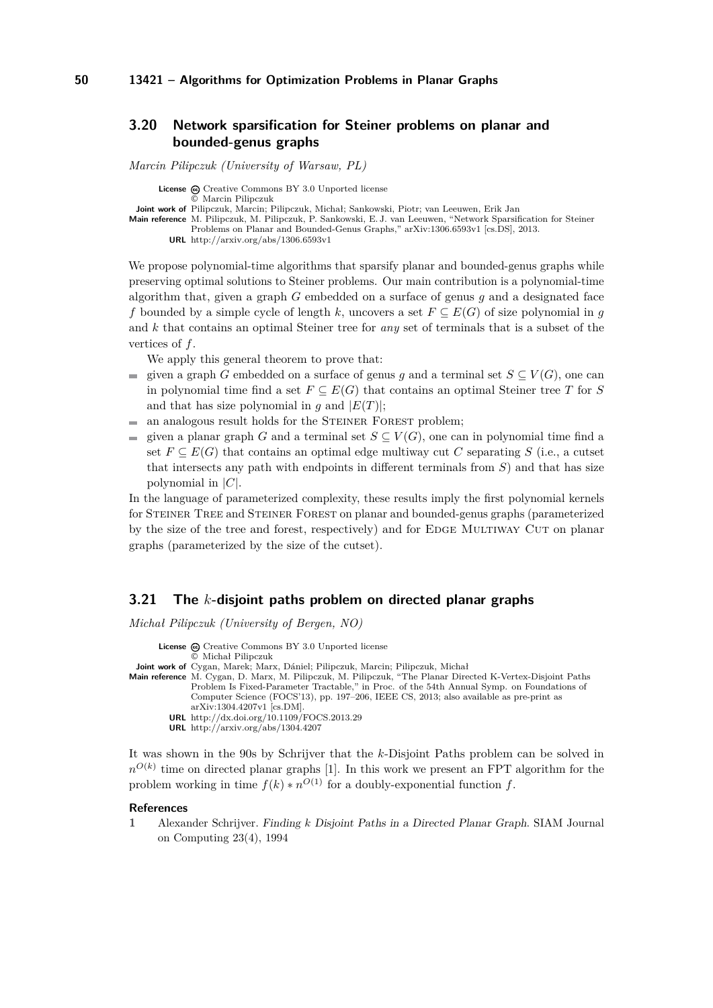# <span id="page-14-0"></span>**3.20 Network sparsification for Steiner problems on planar and bounded-genus graphs**

*Marcin Pilipczuk (University of Warsaw, PL)*

**License**  $\textcircled{c}$  [Creative Commons BY 3.0 Unported](http://creativecommons.org/licenses/by/3.0/) license

© [Marcin Pilipczuk](#page-14-0)

**Joint work of** Pilipczuk, Marcin; Pilipczuk, Michał; Sankowski, Piotr; van Leeuwen, Erik Jan

**Main reference** [M. Pilipczuk, M. Pilipczuk, P. Sankowski, E. J. van Leeuwen, "Network Sparsification for Steiner](http://arxiv.org/abs/1306.6593v1) [Problems on Planar and Bounded-Genus Graphs," arXiv:1306.6593v1 \[cs.DS\], 2013.](http://arxiv.org/abs/1306.6593v1)

**URL** <http://arxiv.org/abs/1306.6593v1>

We propose polynomial-time algorithms that sparsify planar and bounded-genus graphs while preserving optimal solutions to Steiner problems. Our main contribution is a polynomial-time algorithm that, given a graph *G* embedded on a surface of genus *g* and a designated face *f* bounded by a simple cycle of length *k*, uncovers a set  $F \subseteq E(G)$  of size polynomial in *q* and *k* that contains an optimal Steiner tree for *any* set of terminals that is a subset of the vertices of *f*.

We apply this general theorem to prove that:

- given a graph *G* embedded on a surface of genus *q* and a terminal set  $S \subseteq V(G)$ , one can  $\mathcal{L}_{\mathcal{A}}$ in polynomial time find a set  $F \subseteq E(G)$  that contains an optimal Steiner tree *T* for *S* and that has size polynomial in *g* and  $|E(T)|$ ;
- an analogous result holds for the STEINER FOREST problem; m.
- given a planar graph *G* and a terminal set  $S \subseteq V(G)$ , one can in polynomial time find a  $\equiv$ set  $F \subseteq E(G)$  that contains an optimal edge multiway cut C separating S (i.e., a cutset that intersects any path with endpoints in different terminals from *S*) and that has size polynomial in |*C*|.

In the language of parameterized complexity, these results imply the first polynomial kernels for Steiner Tree and Steiner Forest on planar and bounded-genus graphs (parameterized by the size of the tree and forest, respectively) and for EDGE MULTIWAY CUT on planar graphs (parameterized by the size of the cutset).

### <span id="page-14-1"></span>**3.21 The** *k***-disjoint paths problem on directed planar graphs**

*Michał Pilipczuk (University of Bergen, NO)*

License  $\bigcirc$  [Creative Commons BY 3.0 Unported](http://creativecommons.org/licenses/by/3.0/) license © [Michał Pilipczuk](#page-14-1) **Joint work of** Cygan, Marek; Marx, Dániel; Pilipczuk, Marcin; Pilipczuk, Michał **Main reference** [M. Cygan, D. Marx, M. Pilipczuk, M. Pilipczuk, "The Planar Directed K-Vertex-Disjoint Paths](http://dx.doi.org/10.1109/FOCS.2013.29) [Problem Is Fixed-Parameter Tractable," in Proc. of the 54th Annual Symp. on Foundations of](http://dx.doi.org/10.1109/FOCS.2013.29) [Computer Science \(FOCS'13\), pp. 197–206, IEEE CS, 2013; also available as pre-print as](http://dx.doi.org/10.1109/FOCS.2013.29) [arXiv:1304.4207v1 \[cs.DM\].](http://dx.doi.org/10.1109/FOCS.2013.29) **URL** <http://dx.doi.org/10.1109/FOCS.2013.29> **URL** <http://arxiv.org/abs/1304.4207>

It was shown in the 90s by Schrijver that the *k*-Disjoint Paths problem can be solved in  $n^{O(k)}$  time on directed planar graphs [\[1\]](#page-14-2). In this work we present an FPT algorithm for the problem working in time  $f(k) * n^{O(1)}$  for a doubly-exponential function  $f$ .

#### **References**

<span id="page-14-2"></span>**1** Alexander Schrijver. Finding *k* Disjoint Paths in a Directed Planar Graph. SIAM Journal on Computing 23(4), 1994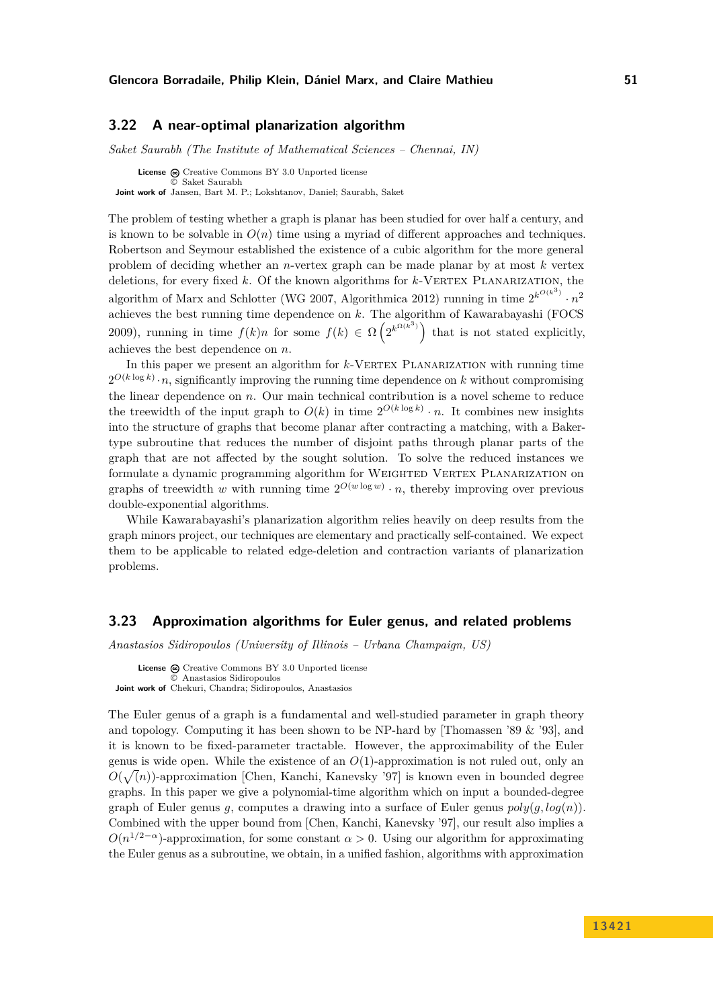## <span id="page-15-0"></span>**3.22 A near-optimal planarization algorithm**

*Saket Saurabh (The Institute of Mathematical Sciences – Chennai, IN)*

**License**  $\odot$  [Creative Commons BY 3.0 Unported](http://creativecommons.org/licenses/by/3.0/) license © [Saket Saurabh](#page-15-0) **Joint work of** Jansen, Bart M. P.; Lokshtanov, Daniel; Saurabh, Saket

The problem of testing whether a graph is planar has been studied for over half a century, and is known to be solvable in  $O(n)$  time using a myriad of different approaches and techniques. Robertson and Seymour established the existence of a cubic algorithm for the more general problem of deciding whether an *n*-vertex graph can be made planar by at most *k* vertex deletions, for every fixed k. Of the known algorithms for k-VERTEX PLANARIZATION, the algorithm of Marx and Schlotter (WG 2007, Algorithmica 2012) running in time  $2^{k^{O(k^3)}} \cdot n^2$ achieves the best running time dependence on *k*. The algorithm of Kawarabayashi (FOCS 2009), running in time  $f(k)n$  for some  $f(k) \in \Omega\left(2^{k^{\Omega(k^3)}}\right)$  that is not stated explicitly, achieves the best dependence on *n*.

In this paper we present an algorithm for *k*-VERTEX PLANARIZATION with running time  $2^{O(k \log k)} \cdot n$ , significantly improving the running time dependence on *k* without compromising the linear dependence on *n*. Our main technical contribution is a novel scheme to reduce the treewidth of the input graph to  $O(k)$  in time  $2^{O(k \log k)} \cdot n$ . It combines new insights into the structure of graphs that become planar after contracting a matching, with a Bakertype subroutine that reduces the number of disjoint paths through planar parts of the graph that are not affected by the sought solution. To solve the reduced instances we formulate a dynamic programming algorithm for WEIGHTED VERTEX PLANARIZATION on graphs of treewidth *w* with running time  $2^{O(w \log w)} \cdot n$ , thereby improving over previous double-exponential algorithms.

While Kawarabayashi's planarization algorithm relies heavily on deep results from the graph minors project, our techniques are elementary and practically self-contained. We expect them to be applicable to related edge-deletion and contraction variants of planarization problems.

### <span id="page-15-1"></span>**3.23 Approximation algorithms for Euler genus, and related problems**

*Anastasios Sidiropoulos (University of Illinois – Urbana Champaign, US)*

License  $\textcircled{c}$  [Creative Commons BY 3.0 Unported](http://creativecommons.org/licenses/by/3.0/) license © [Anastasios Sidiropoulos](#page-15-1) **Joint work of** Chekuri, Chandra; Sidiropoulos, Anastasios

The Euler genus of a graph is a fundamental and well-studied parameter in graph theory and topology. Computing it has been shown to be NP-hard by [Thomassen '89  $\&$  '93], and it is known to be fixed-parameter tractable. However, the approximability of the Euler genus is wide open. While the existence of an *O*(1)-approximation is not ruled out, only an  $O(\sqrt(n))$ -approximation [Chen, Kanchi, Kanevsky '97] is known even in bounded degree graphs. In this paper we give a polynomial-time algorithm which on input a bounded-degree graph of Euler genus *g*, computes a drawing into a surface of Euler genus  $poly(q, log(n))$ . Combined with the upper bound from [Chen, Kanchi, Kanevsky '97], our result also implies a  $O(n^{1/2-\alpha})$ -approximation, for some constant  $\alpha > 0$ . Using our algorithm for approximating the Euler genus as a subroutine, we obtain, in a unified fashion, algorithms with approximation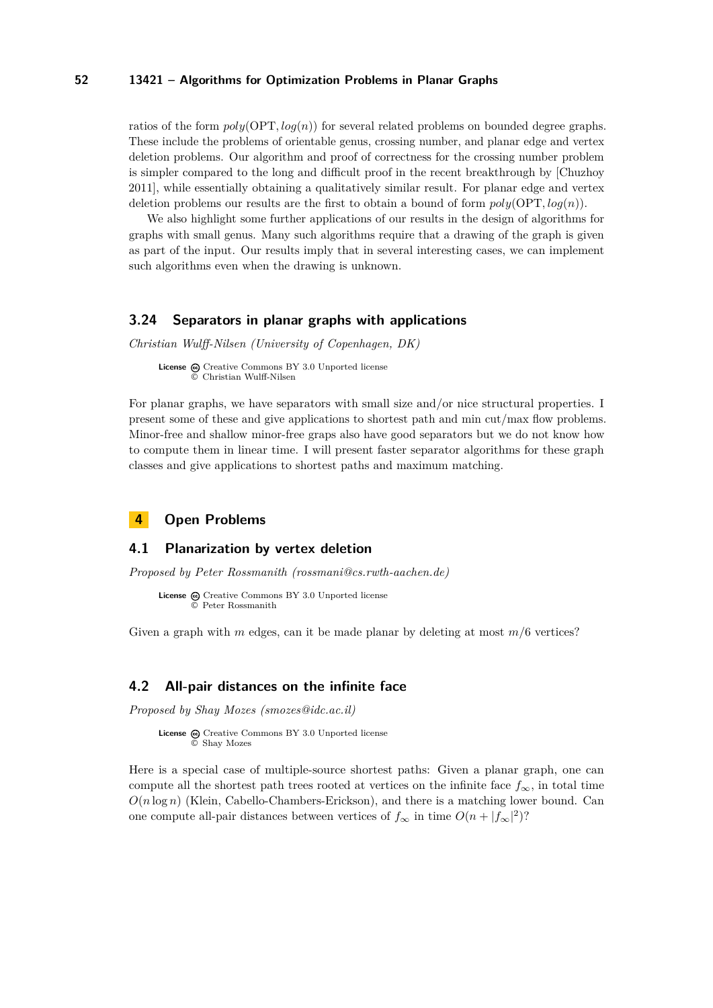ratios of the form  $poly(OPT, log(n))$  for several related problems on bounded degree graphs. These include the problems of orientable genus, crossing number, and planar edge and vertex deletion problems. Our algorithm and proof of correctness for the crossing number problem is simpler compared to the long and difficult proof in the recent breakthrough by [Chuzhoy 2011], while essentially obtaining a qualitatively similar result. For planar edge and vertex deletion problems our results are the first to obtain a bound of form *poly*(OPT*, log*(*n*)).

We also highlight some further applications of our results in the design of algorithms for graphs with small genus. Many such algorithms require that a drawing of the graph is given as part of the input. Our results imply that in several interesting cases, we can implement such algorithms even when the drawing is unknown.

## <span id="page-16-0"></span>**3.24 Separators in planar graphs with applications**

*Christian Wulff-Nilsen (University of Copenhagen, DK)*

**License**  $\textcircled{e}$  [Creative Commons BY 3.0 Unported](http://creativecommons.org/licenses/by/3.0/) license © [Christian Wulff-Nilsen](#page-16-0)

For planar graphs, we have separators with small size and/or nice structural properties. I present some of these and give applications to shortest path and min cut/max flow problems. Minor-free and shallow minor-free graps also have good separators but we do not know how to compute them in linear time. I will present faster separator algorithms for these graph classes and give applications to shortest paths and maximum matching.

# <span id="page-16-1"></span>**4 Open Problems**

### <span id="page-16-2"></span>**4.1 Planarization by vertex deletion**

*Proposed by Peter Rossmanith (rossmani@cs.rwth-aachen.de)*

```
License \textcircled{c}Creative Commons BY 3.0 Unported license
        © Peter Rossmanith
```
Given a graph with *m* edges, can it be made planar by deleting at most  $m/6$  vertices?

# <span id="page-16-3"></span>**4.2 All-pair distances on the infinite face**

*Proposed by Shay Mozes (smozes@idc.ac.il)*

```
Creative Commons BY 3.0 Unported license
      © Shay Mozes
```
Here is a special case of multiple-source shortest paths: Given a planar graph, one can compute all the shortest path trees rooted at vertices on the infinite face  $f_{\infty}$ , in total time  $O(n \log n)$  (Klein, Cabello-Chambers-Erickson), and there is a matching lower bound. Can one compute all-pair distances between vertices of  $f_{\infty}$  in time  $O(n + |f_{\infty}|^2)$ ?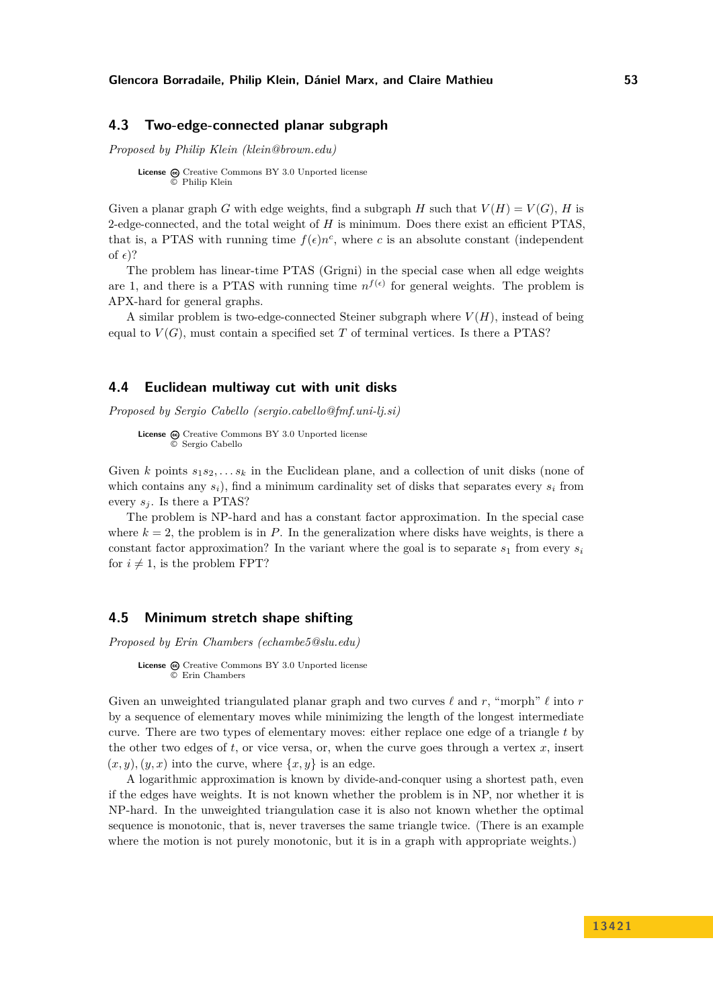### <span id="page-17-0"></span>**4.3 Two-edge-connected planar subgraph**

*Proposed by Philip Klein (klein@brown.edu)*

**License** @ [Creative Commons BY 3.0 Unported](http://creativecommons.org/licenses/by/3.0/) license © [Philip Klein](#page-17-0)

Given a planar graph *G* with edge weights, find a subgraph *H* such that  $V(H) = V(G)$ , *H* is 2-edge-connected, and the total weight of *H* is minimum. Does there exist an efficient PTAS, that is, a PTAS with running time  $f(\epsilon)n^c$ , where *c* is an absolute constant (independent of  $\epsilon$ ?

The problem has linear-time PTAS (Grigni) in the special case when all edge weights are 1, and there is a PTAS with running time  $n^{f(\epsilon)}$  for general weights. The problem is APX-hard for general graphs.

A similar problem is two-edge-connected Steiner subgraph where  $V(H)$ , instead of being equal to  $V(G)$ , must contain a specified set T of terminal vertices. Is there a PTAS?

# <span id="page-17-1"></span>**4.4 Euclidean multiway cut with unit disks**

*Proposed by Sergio Cabello (sergio.cabello@fmf.uni-lj.si)*

License  $\textcircled{c}$  [Creative Commons BY 3.0 Unported](http://creativecommons.org/licenses/by/3.0/) license © [Sergio Cabello](#page-17-1)

Given *k* points  $s_1 s_2, \ldots s_k$  in the Euclidean plane, and a collection of unit disks (none of which contains any  $s_i$ ), find a minimum cardinality set of disks that separates every  $s_i$  from every  $s_i$ . Is there a PTAS?

The problem is NP-hard and has a constant factor approximation. In the special case where  $k = 2$ , the problem is in *P*. In the generalization where disks have weights, is there a constant factor approximation? In the variant where the goal is to separate  $s_1$  from every  $s_i$ for  $i \neq 1$ , is the problem FPT?

### <span id="page-17-2"></span>**4.5 Minimum stretch shape shifting**

*Proposed by Erin Chambers (echambe5@slu.edu)*

**License**  $\textcircled{e}$  [Creative Commons BY 3.0 Unported](http://creativecommons.org/licenses/by/3.0/) license © [Erin Chambers](#page-17-2)

Given an unweighted triangulated planar graph and two curves  $\ell$  and  $r$ , "morph"  $\ell$  into  $r$ by a sequence of elementary moves while minimizing the length of the longest intermediate curve. There are two types of elementary moves: either replace one edge of a triangle *t* by the other two edges of  $t$ , or vice versa, or, when the curve goes through a vertex  $x$ , insert  $(x, y)$ ,  $(y, x)$  into the curve, where  $\{x, y\}$  is an edge.

A logarithmic approximation is known by divide-and-conquer using a shortest path, even if the edges have weights. It is not known whether the problem is in NP, nor whether it is NP-hard. In the unweighted triangulation case it is also not known whether the optimal sequence is monotonic, that is, never traverses the same triangle twice. (There is an example where the motion is not purely monotonic, but it is in a graph with appropriate weights.)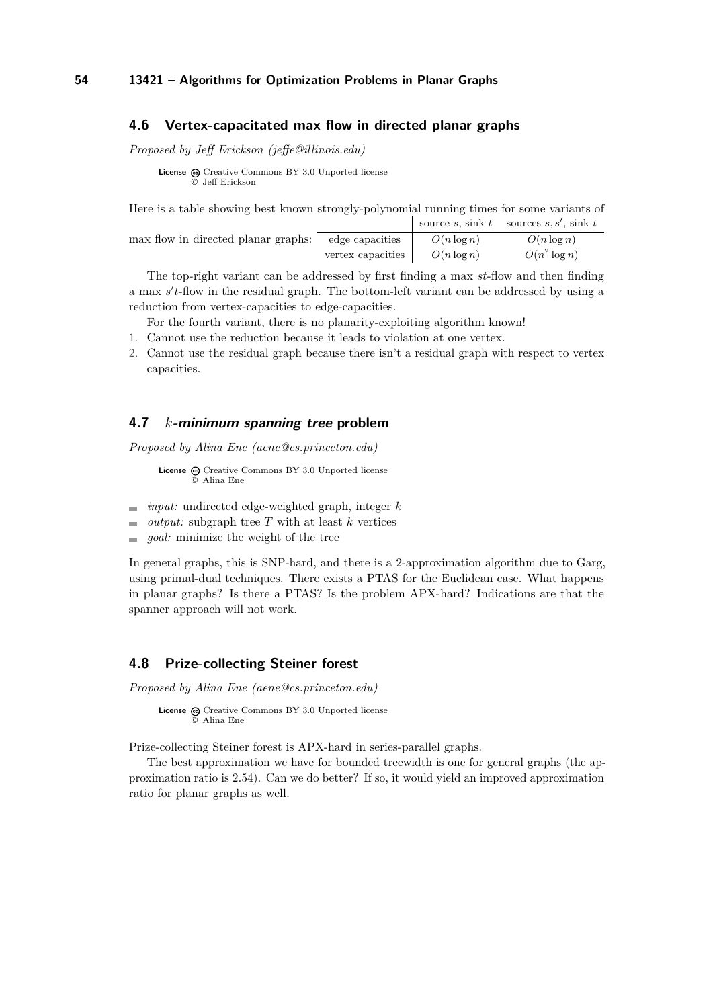### <span id="page-18-0"></span>**4.6 Vertex-capacitated max flow in directed planar graphs**

*Proposed by Jeff Erickson (jeffe@illinois.edu)*

**License**  $\bigoplus$  [Creative Commons BY 3.0 Unported](http://creativecommons.org/licenses/by/3.0/) license © [Jeff Erickson](#page-18-0)

| Here is a table showing best known strongly-polynomial running times for some variants of |  |                                        |
|-------------------------------------------------------------------------------------------|--|----------------------------------------|
|                                                                                           |  | source s, sink t sources s, s', sink t |
| $\frac{1}{2}$ may flow in directed planar graphs: edge capacities $O(n \log n)$           |  | $O(n \log n)$                          |

| max flow in directed planar graphs: | edge capacities   | $O(n \log n)$ | $O(n \log n)$   |
|-------------------------------------|-------------------|---------------|-----------------|
|                                     | vertex capacities | $O(n \log n)$ | $O(n^2 \log n)$ |

The top-right variant can be addressed by first finding a max *st*-flow and then finding a max s't-flow in the residual graph. The bottom-left variant can be addressed by using a reduction from vertex-capacities to edge-capacities.

For the fourth variant, there is no planarity-exploiting algorithm known!

- 1. Cannot use the reduction because it leads to violation at one vertex.
- 2. Cannot use the residual graph because there isn't a residual graph with respect to vertex capacities.

### <span id="page-18-1"></span>**4.7** *k***-minimum spanning tree problem**

*Proposed by Alina Ene (aene@cs.princeton.edu)*

License @ [Creative Commons BY 3.0 Unported](http://creativecommons.org/licenses/by/3.0/) license © [Alina Ene](#page-18-1)

- *input:* undirected edge-weighted graph, integer *k*  $\sim$
- *output:* subgraph tree *T* with at least *k* vertices  $\sim$
- *goal:* minimize the weight of the tree  $\overline{a}$

In general graphs, this is SNP-hard, and there is a 2-approximation algorithm due to Garg, using primal-dual techniques. There exists a PTAS for the Euclidean case. What happens in planar graphs? Is there a PTAS? Is the problem APX-hard? Indications are that the spanner approach will not work.

# <span id="page-18-2"></span>**4.8 Prize-collecting Steiner forest**

*Proposed by Alina Ene (aene@cs.princeton.edu)*

License  $\bigcirc$  [Creative Commons BY 3.0 Unported](http://creativecommons.org/licenses/by/3.0/) license © [Alina Ene](#page-18-2)

Prize-collecting Steiner forest is APX-hard in series-parallel graphs.

The best approximation we have for bounded treewidth is one for general graphs (the approximation ratio is 2.54). Can we do better? If so, it would yield an improved approximation ratio for planar graphs as well.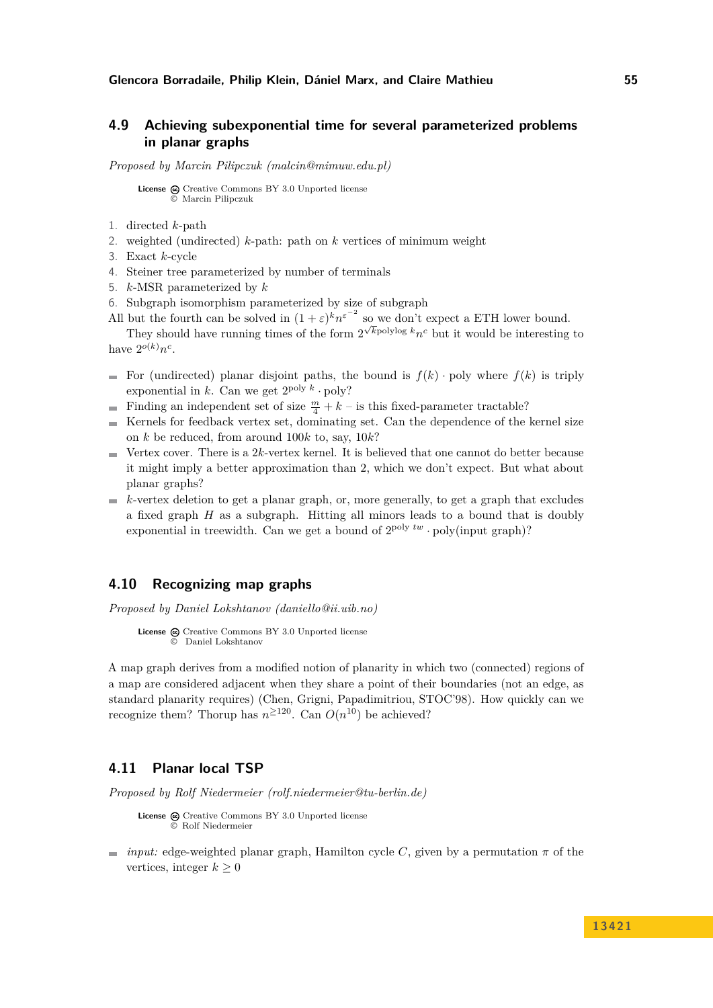# <span id="page-19-0"></span>**4.9 Achieving subexponential time for several parameterized problems in planar graphs**

*Proposed by Marcin Pilipczuk (malcin@mimuw.edu.pl)*

**License**  $\textcircled{c}$  [Creative Commons BY 3.0 Unported](http://creativecommons.org/licenses/by/3.0/) license © [Marcin Pilipczuk](#page-19-0)

- 1. directed *k*-path
- 2. weighted (undirected) *k*-path: path on *k* vertices of minimum weight
- 3. Exact *k*-cycle
- 4. Steiner tree parameterized by number of terminals
- 5. *k*-MSR parameterized by *k*
- 6. Subgraph isomorphism parameterized by size of subgraph
- All but the fourth can be solved in  $(1 + \varepsilon)^k n^{\varepsilon^{-2}}$  so we don't expect a ETH lower bound.

They should have running times of the form  $2^{\sqrt{k} \text{polylog } k} n^c$  but it would be interesting to have  $2^{o(k)}n^c$ .

- For (undirected) planar disjoint paths, the bound is  $f(k)$  · poly where  $f(k)$  is triply exponential in  $k$ . Can we get  $2^{\text{poly }k} \cdot \text{poly}$ ?
- Finding an independent set of size  $\frac{m}{4} + k -$  is this fixed-parameter tractable?  $\sim$
- $\equiv$ Kernels for feedback vertex set, dominating set. Can the dependence of the kernel size on *k* be reduced, from around 100*k* to, say, 10*k*?
- Vertex cover. There is a 2*k*-vertex kernel. It is believed that one cannot do better because  $\blacksquare$ it might imply a better approximation than 2, which we don't expect. But what about planar graphs?
- $\blacksquare$  *k*-vertex deletion to get a planar graph, or, more generally, to get a graph that excludes a fixed graph *H* as a subgraph. Hitting all minors leads to a bound that is doubly exponential in treewidth. Can we get a bound of  $2^{poly t w} \cdot poly(input graph)$ ?

# <span id="page-19-1"></span>**4.10 Recognizing map graphs**

*Proposed by Daniel Lokshtanov (daniello@ii.uib.no)*

```
License \textcircled{c}Creative Commons BY 3.0 Unported license
           © Daniel Lokshtanov
```
A map graph derives from a modified notion of planarity in which two (connected) regions of a map are considered adjacent when they share a point of their boundaries (not an edge, as standard planarity requires) (Chen, Grigni, Papadimitriou, STOC'98). How quickly can we recognize them? Thorup has  $n^{\geq 120}$ . Can  $O(n^{10})$  be achieved?

# <span id="page-19-2"></span>**4.11 Planar local TSP**

*Proposed by Rolf Niedermeier (rolf.niedermeier@tu-berlin.de)*

License  $\odot$  [Creative Commons BY 3.0 Unported](http://creativecommons.org/licenses/by/3.0/) license © [Rolf Niedermeier](#page-19-2)

*input:* edge-weighted planar graph, Hamilton cycle *C*, given by a permutation  $\pi$  of the vertices, integer  $k \geq 0$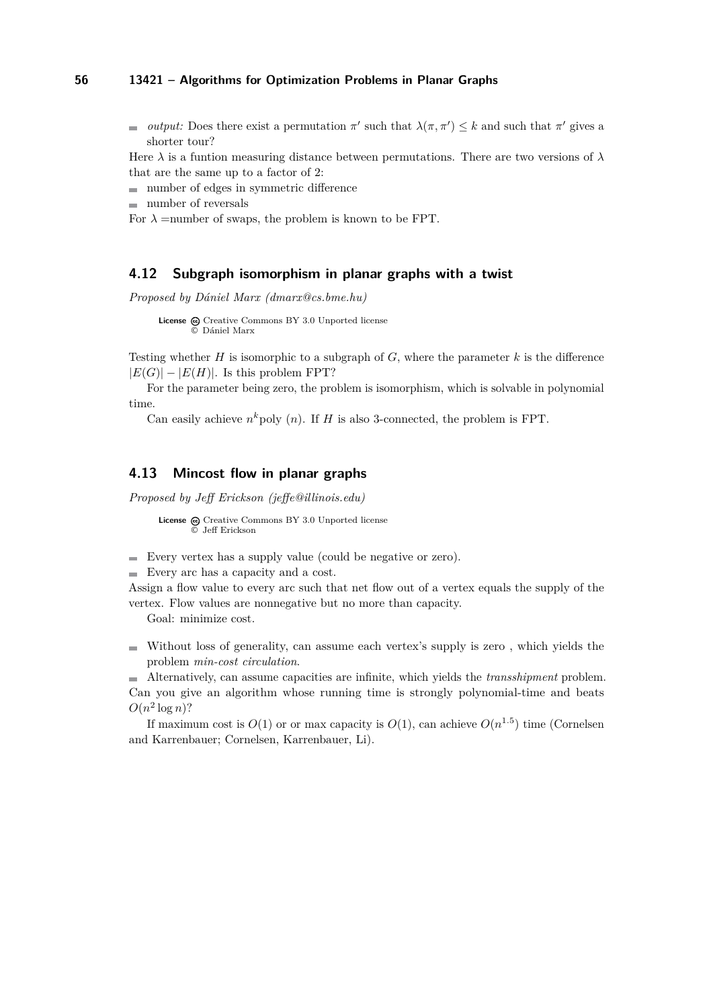*output:* Does there exist a permutation  $\pi'$  such that  $\lambda(\pi, \pi') \leq k$  and such that  $\pi'$  gives a shorter tour?

Here  $\lambda$  is a funtion measuring distance between permutations. There are two versions of  $\lambda$ that are the same up to a factor of 2:

number of edges in symmetric difference

number of reversals

For  $\lambda$  =number of swaps, the problem is known to be FPT.

# <span id="page-20-0"></span>**4.12 Subgraph isomorphism in planar graphs with a twist**

*Proposed by Dániel Marx (dmarx@cs.bme.hu)*

```
License \odotCreative Commons BY 3.0 Unported license
       © Dániel Marx
```
Testing whether *H* is isomorphic to a subgraph of  $G$ , where the parameter  $k$  is the difference  $|E(G)| - |E(H)|$ . Is this problem FPT?

For the parameter being zero, the problem is isomorphism, which is solvable in polynomial time.

Can easily achieve  $n^k$  poly  $(n)$ . If *H* is also 3-connected, the problem is FPT.

### <span id="page-20-1"></span>**4.13 Mincost flow in planar graphs**

*Proposed by Jeff Erickson (jeffe@illinois.edu)*

License  $\textcircled{c}$  [Creative Commons BY 3.0 Unported](http://creativecommons.org/licenses/by/3.0/) license © [Jeff Erickson](#page-20-1)

- Every vertex has a supply value (could be negative or zero).
- Every arc has a capacity and a cost.

Assign a flow value to every arc such that net flow out of a vertex equals the supply of the vertex. Flow values are nonnegative but no more than capacity.

Goal: minimize cost.

Without loss of generality, can assume each vertex's supply is zero , which yields the problem *min-cost circulation*.

Alternatively, can assume capacities are infinite, which yields the *transshipment* problem. Can you give an algorithm whose running time is strongly polynomial-time and beats  $O(n^2 \log n)$ ?

If maximum cost is  $O(1)$  or or max capacity is  $O(1)$ , can achieve  $O(n^{1.5})$  time (Cornelsen and Karrenbauer; Cornelsen, Karrenbauer, Li).